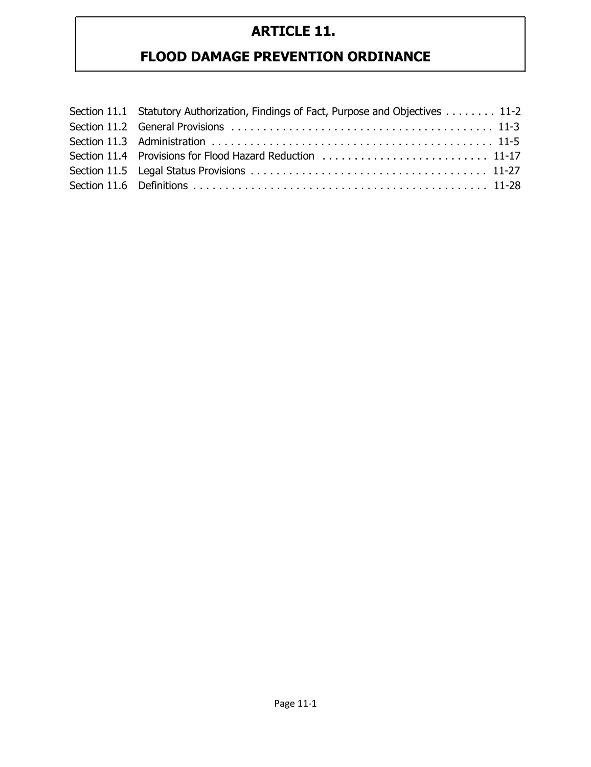| Section 11.1 Statutory Authorization, Findings of Fact, Purpose and Objectives 11-2 |
|-------------------------------------------------------------------------------------|
|                                                                                     |
|                                                                                     |
|                                                                                     |
|                                                                                     |
|                                                                                     |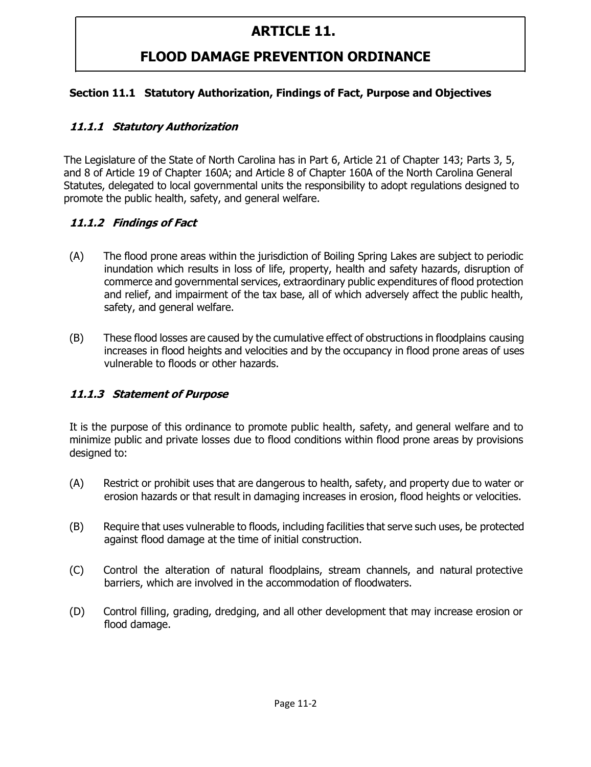### **FLOOD DAMAGE PREVENTION ORDINANCE**

#### **Section 11.1 Statutory Authorization, Findings of Fact, Purpose and Objectives**

#### **11.1.1 Statutory Authorization**

The Legislature of the State of North Carolina has in Part 6, Article 21 of Chapter 143; Parts 3, 5, and 8 of Article 19 of Chapter 160A; and Article 8 of Chapter 160A of the North Carolina General Statutes, delegated to local governmental units the responsibility to adopt regulations designed to promote the public health, safety, and general welfare.

#### **11.1.2 Findings of Fact**

- (A) The flood prone areas within the jurisdiction of Boiling Spring Lakes are subject to periodic inundation which results in loss of life, property, health and safety hazards, disruption of commerce and governmental services, extraordinary public expenditures of flood protection and relief, and impairment of the tax base, all of which adversely affect the public health, safety, and general welfare.
- (B) These flood losses are caused by the cumulative effect of obstructions in floodplains causing increases in flood heights and velocities and by the occupancy in flood prone areas of uses vulnerable to floods or other hazards.

#### **11.1.3 Statement of Purpose**

It is the purpose of this ordinance to promote public health, safety, and general welfare and to minimize public and private losses due to flood conditions within flood prone areas by provisions designed to:

- (A) Restrict or prohibit uses that are dangerous to health, safety, and property due to water or erosion hazards or that result in damaging increases in erosion, flood heights or velocities.
- (B) Require that uses vulnerable to floods, including facilities that serve such uses, be protected against flood damage at the time of initial construction.
- (C) Control the alteration of natural floodplains, stream channels, and natural protective barriers, which are involved in the accommodation of floodwaters.
- (D) Control filling, grading, dredging, and all other development that may increase erosion or flood damage.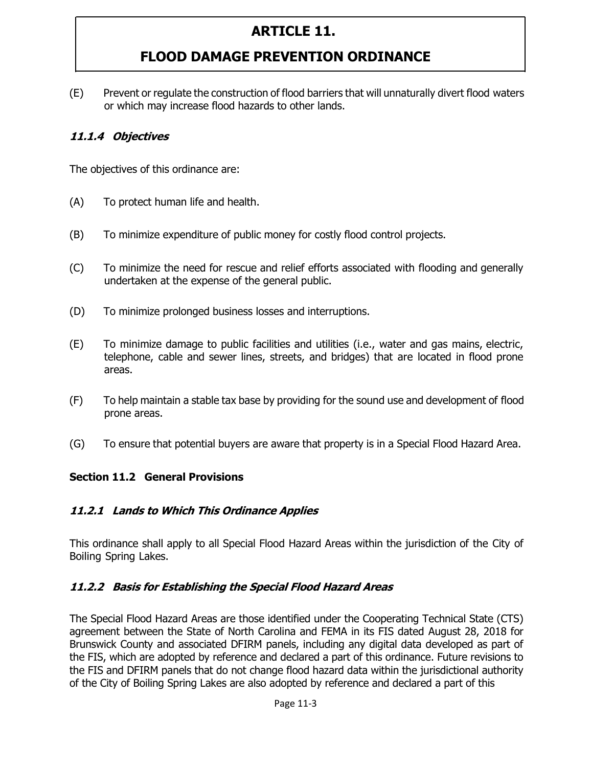# **FLOOD DAMAGE PREVENTION ORDINANCE**

(E) Prevent or regulate the construction of flood barriers that will unnaturally divert flood waters or which may increase flood hazards to other lands.

#### **11.1.4 Objectives**

The objectives of this ordinance are:

- (A) To protect human life and health.
- (B) To minimize expenditure of public money for costly flood control projects.
- (C) To minimize the need for rescue and relief efforts associated with flooding and generally undertaken at the expense of the general public.
- (D) To minimize prolonged business losses and interruptions.
- (E) To minimize damage to public facilities and utilities (i.e., water and gas mains, electric, telephone, cable and sewer lines, streets, and bridges) that are located in flood prone areas.
- (F) To help maintain a stable tax base by providing for the sound use and development of flood prone areas.
- (G) To ensure that potential buyers are aware that property is in a Special Flood Hazard Area.

#### **Section 11.2 General Provisions**

#### **11.2.1 Lands to Which This Ordinance Applies**

This ordinance shall apply to all Special Flood Hazard Areas within the jurisdiction of the City of Boiling Spring Lakes.

#### **11.2.2 Basis for Establishing the Special Flood Hazard Areas**

The Special Flood Hazard Areas are those identified under the Cooperating Technical State (CTS) agreement between the State of North Carolina and FEMA in its FIS dated August 28, 2018 for Brunswick County and associated DFIRM panels, including any digital data developed as part of the FIS, which are adopted by reference and declared a part of this ordinance. Future revisions to the FIS and DFIRM panels that do not change flood hazard data within the jurisdictional authority of the City of Boiling Spring Lakes are also adopted by reference and declared a part of this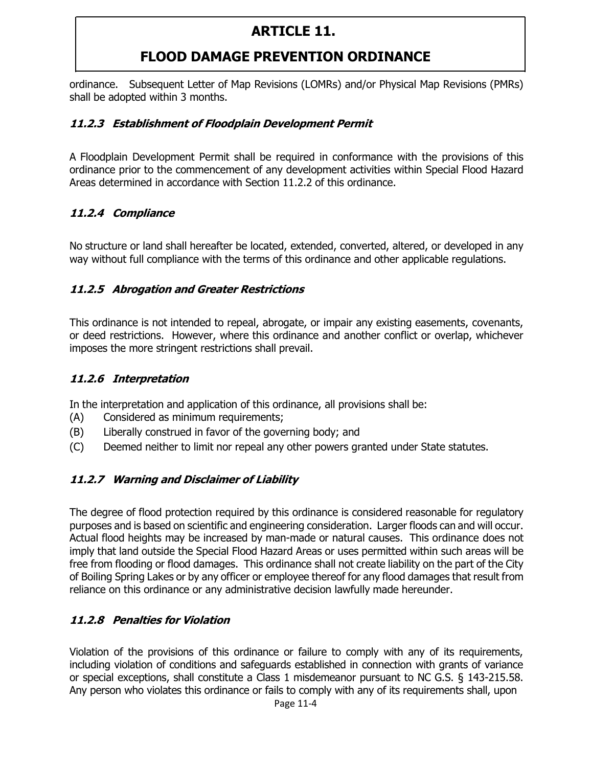# **FLOOD DAMAGE PREVENTION ORDINANCE**

ordinance. Subsequent Letter of Map Revisions (LOMRs) and/or Physical Map Revisions (PMRs) shall be adopted within 3 months.

#### **11.2.3 Establishment of Floodplain Development Permit**

A Floodplain Development Permit shall be required in conformance with the provisions of this ordinance prior to the commencement of any development activities within Special Flood Hazard Areas determined in accordance with Section 11.2.2 of this ordinance.

#### **11.2.4 Compliance**

No structure or land shall hereafter be located, extended, converted, altered, or developed in any way without full compliance with the terms of this ordinance and other applicable regulations.

#### **11.2.5 Abrogation and Greater Restrictions**

This ordinance is not intended to repeal, abrogate, or impair any existing easements, covenants, or deed restrictions. However, where this ordinance and another conflict or overlap, whichever imposes the more stringent restrictions shall prevail.

#### **11.2.6 Interpretation**

In the interpretation and application of this ordinance, all provisions shall be:

- (A) Considered as minimum requirements;
- (B) Liberally construed in favor of the governing body; and
- (C) Deemed neither to limit nor repeal any other powers granted under State statutes.

#### **11.2.7 Warning and Disclaimer of Liability**

The degree of flood protection required by this ordinance is considered reasonable for regulatory purposes and is based on scientific and engineering consideration. Larger floods can and will occur. Actual flood heights may be increased by man-made or natural causes. This ordinance does not imply that land outside the Special Flood Hazard Areas or uses permitted within such areas will be free from flooding or flood damages. This ordinance shall not create liability on the part of the City of Boiling Spring Lakes or by any officer or employee thereof for any flood damages that result from reliance on this ordinance or any administrative decision lawfully made hereunder.

#### **11.2.8 Penalties for Violation**

Violation of the provisions of this ordinance or failure to comply with any of its requirements, including violation of conditions and safeguards established in connection with grants of variance or special exceptions, shall constitute a Class 1 misdemeanor pursuant to NC G.S. § 143-215.58. Any person who violates this ordinance or fails to comply with any of its requirements shall, upon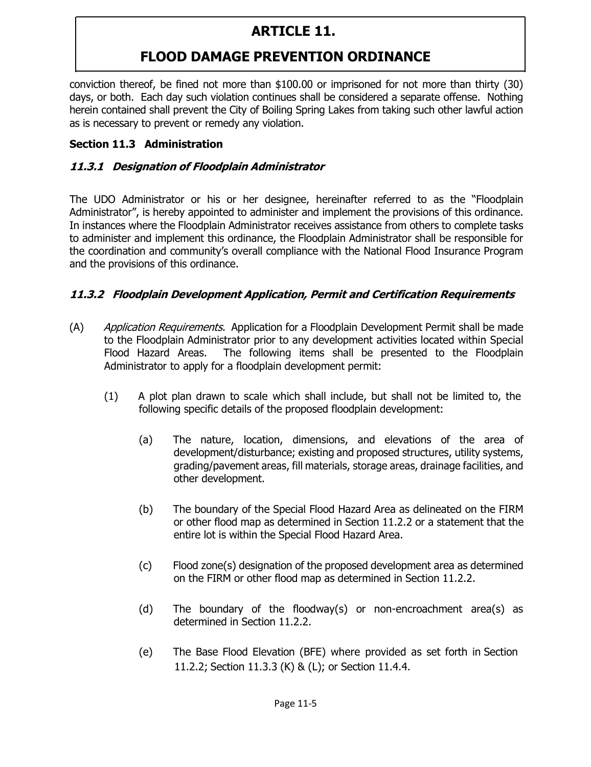# **FLOOD DAMAGE PREVENTION ORDINANCE**

conviction thereof, be fined not more than \$100.00 or imprisoned for not more than thirty (30) days, or both. Each day such violation continues shall be considered a separate offense. Nothing herein contained shall prevent the City of Boiling Spring Lakes from taking such other lawful action as is necessary to prevent or remedy any violation.

#### **Section 11.3 Administration**

#### **11.3.1 Designation of Floodplain Administrator**

The UDO Administrator or his or her designee, hereinafter referred to as the "Floodplain Administrator", is hereby appointed to administer and implement the provisions of this ordinance. In instances where the Floodplain Administrator receives assistance from others to complete tasks to administer and implement this ordinance, the Floodplain Administrator shall be responsible for the coordination and community's overall compliance with the National Flood Insurance Program and the provisions of this ordinance.

#### **11.3.2 Floodplain Development Application, Permit and Certification Requirements**

- (A) Application Requirements. Application for a Floodplain Development Permit shall be made to the Floodplain Administrator prior to any development activities located within Special Flood Hazard Areas. The following items shall be presented to the Floodplain Administrator to apply for a floodplain development permit:
	- (1) A plot plan drawn to scale which shall include, but shall not be limited to, the following specific details of the proposed floodplain development:
		- (a) The nature, location, dimensions, and elevations of the area of development/disturbance; existing and proposed structures, utility systems, grading/pavement areas, fill materials, storage areas, drainage facilities, and other development.
		- (b) The boundary of the Special Flood Hazard Area as delineated on the FIRM or other flood map as determined in Section 11.2.2 or a statement that the entire lot is within the Special Flood Hazard Area.
		- (c) Flood zone(s) designation of the proposed development area as determined on the FIRM or other flood map as determined in Section 11.2.2.
		- (d) The boundary of the floodway(s) or non-encroachment area(s) as determined in Section 11.2.2.
		- (e) The Base Flood Elevation (BFE) where provided as set forth in Section 11.2.2; Section 11.3.3 (K) & (L); or Section 11.4.4.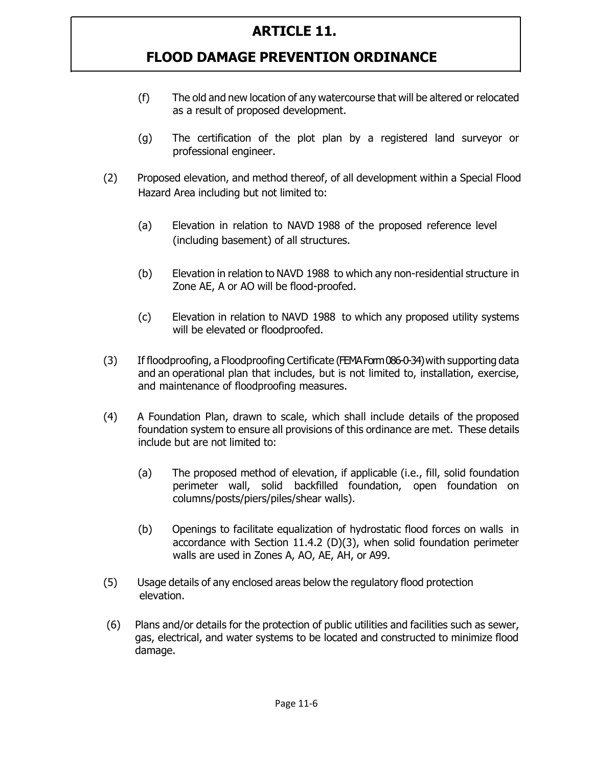- (f) The old and new location of any watercourse that will be altered or relocated as a result of proposed development.
- (g) The certification of the plot plan by a registered land surveyor or professional engineer.
- (2) Proposed elevation, and method thereof, of all development within a Special Flood Hazard Area including but not limited to:
	- (a) Elevation in relation to NAVD 1988 of the proposed reference level (including basement) of all structures.
	- (b) Elevation in relation to NAVD 1988 to which any non-residential structure in Zone AE, A or AO will be flood-proofed.
	- (c) Elevation in relation to NAVD 1988 to which any proposed utility systems will be elevated or floodproofed.
- (3) If floodproofing, a Floodproofing Certificate (FEMA Form 086-0-34) with supporting data and an operational plan that includes, but is not limited to, installation, exercise, and maintenance of floodproofing measures.
- (4) A Foundation Plan, drawn to scale, which shall include details of the proposed foundation system to ensure all provisions of this ordinance are met. These details include but are not limited to:
	- (a) The proposed method of elevation, if applicable (i.e., fill, solid foundation perimeter wall, solid backfilled foundation, open foundation on columns/posts/piers/piles/shear walls).
	- (b) Openings to facilitate equalization of hydrostatic flood forces on walls in accordance with Section 11.4.2 (D)(3), when solid foundation perimeter walls are used in Zones A, AO, AE, AH, or A99.
- (5) Usage details of any enclosed areas below the regulatory flood protection elevation.
- (6) Plans and/or details for the protection of public utilities and facilities such as sewer, gas, electrical, and water systems to be located and constructed to minimize flood damage.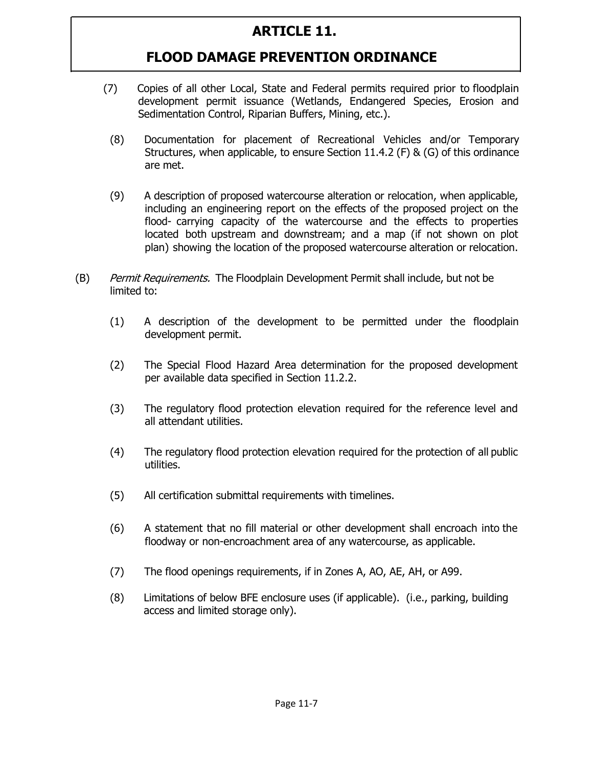- (7) Copies of all other Local, State and Federal permits required prior to floodplain development permit issuance (Wetlands, Endangered Species, Erosion and Sedimentation Control, Riparian Buffers, Mining, etc.).
	- (8) Documentation for placement of Recreational Vehicles and/or Temporary Structures, when applicable, to ensure Section 11.4.2 (F) & (G) of this ordinance are met.
	- (9) A description of proposed watercourse alteration or relocation, when applicable, including an engineering report on the effects of the proposed project on the flood- carrying capacity of the watercourse and the effects to properties located both upstream and downstream; and a map (if not shown on plot plan) showing the location of the proposed watercourse alteration or relocation.
- (B) Permit Requirements. The Floodplain Development Permit shall include, but not be limited to:
	- (1) A description of the development to be permitted under the floodplain development permit.
	- (2) The Special Flood Hazard Area determination for the proposed development per available data specified in Section 11.2.2.
	- (3) The regulatory flood protection elevation required for the reference level and all attendant utilities.
	- (4) The regulatory flood protection elevation required for the protection of all public utilities.
	- (5) All certification submittal requirements with timelines.
	- (6) A statement that no fill material or other development shall encroach into the floodway or non-encroachment area of any watercourse, as applicable.
	- (7) The flood openings requirements, if in Zones A, AO, AE, AH, or A99.
	- (8) Limitations of below BFE enclosure uses (if applicable). (i.e., parking, building access and limited storage only).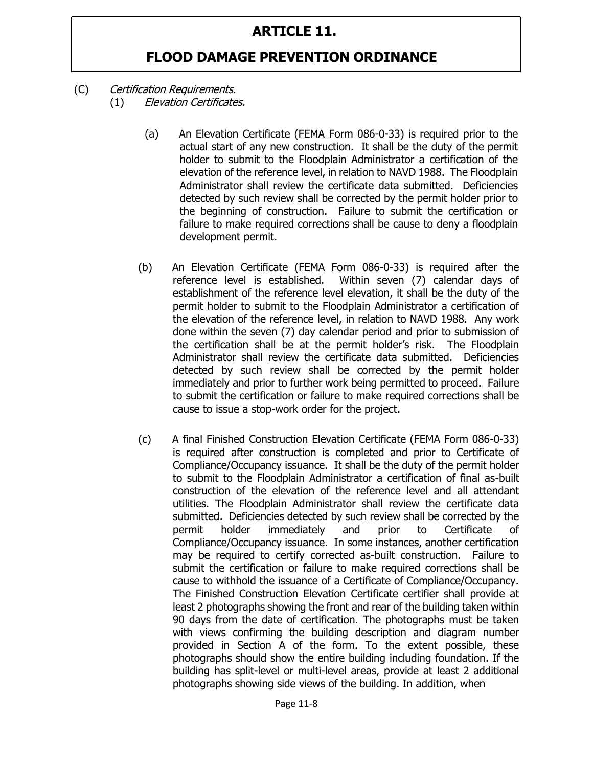- (C) Certification Requirements. (1) Elevation Certificates.
	- (a) An Elevation Certificate (FEMA Form 086-0-33) is required prior to the actual start of any new construction. It shall be the duty of the permit holder to submit to the Floodplain Administrator a certification of the elevation of the reference level, in relation to NAVD 1988. The Floodplain Administrator shall review the certificate data submitted. Deficiencies detected by such review shall be corrected by the permit holder prior to the beginning of construction. Failure to submit the certification or failure to make required corrections shall be cause to deny a floodplain development permit.
	- (b) An Elevation Certificate (FEMA Form 086-0-33) is required after the reference level is established. Within seven (7) calendar days of establishment of the reference level elevation, it shall be the duty of the permit holder to submit to the Floodplain Administrator a certification of the elevation of the reference level, in relation to NAVD 1988. Any work done within the seven (7) day calendar period and prior to submission of the certification shall be at the permit holder's risk. The Floodplain Administrator shall review the certificate data submitted. Deficiencies detected by such review shall be corrected by the permit holder immediately and prior to further work being permitted to proceed. Failure to submit the certification or failure to make required corrections shall be cause to issue a stop-work order for the project.
	- (c) A final Finished Construction Elevation Certificate (FEMA Form 086-0-33) is required after construction is completed and prior to Certificate of Compliance/Occupancy issuance. It shall be the duty of the permit holder to submit to the Floodplain Administrator a certification of final as-built construction of the elevation of the reference level and all attendant utilities. The Floodplain Administrator shall review the certificate data submitted. Deficiencies detected by such review shall be corrected by the permit holder immediately and prior to Certificate of Compliance/Occupancy issuance. In some instances, another certification may be required to certify corrected as-built construction. Failure to submit the certification or failure to make required corrections shall be cause to withhold the issuance of a Certificate of Compliance/Occupancy. The Finished Construction Elevation Certificate certifier shall provide at least 2 photographs showing the front and rear of the building taken within 90 days from the date of certification. The photographs must be taken with views confirming the building description and diagram number provided in Section A of the form. To the extent possible, these photographs should show the entire building including foundation. If the building has split-level or multi-level areas, provide at least 2 additional photographs showing side views of the building. In addition, when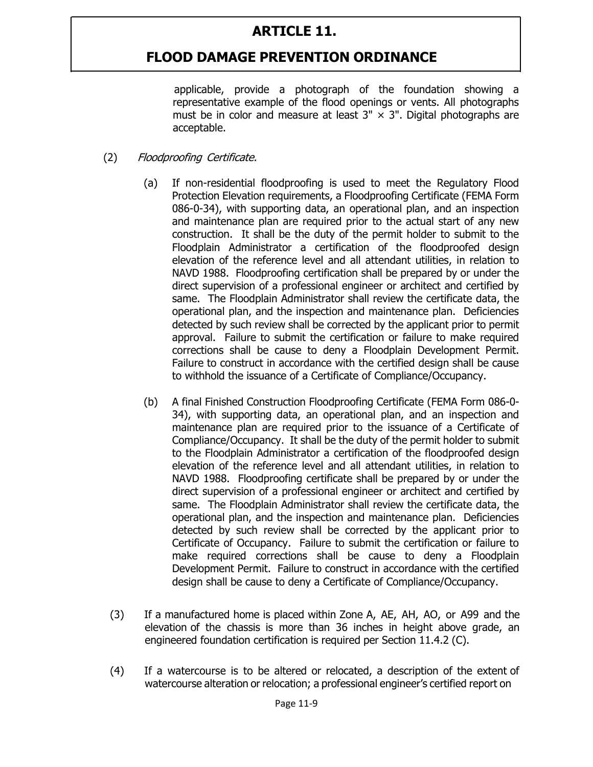#### **FLOOD DAMAGE PREVENTION ORDINANCE**

applicable, provide a photograph of the foundation showing a representative example of the flood openings or vents. All photographs must be in color and measure at least  $3'' \times 3''$ . Digital photographs are acceptable.

- (2) Floodproofing Certificate.
	- (a) If non-residential floodproofing is used to meet the Regulatory Flood Protection Elevation requirements, a Floodproofing Certificate (FEMA Form 086-0-34), with supporting data, an operational plan, and an inspection and maintenance plan are required prior to the actual start of any new construction. It shall be the duty of the permit holder to submit to the Floodplain Administrator a certification of the floodproofed design elevation of the reference level and all attendant utilities, in relation to NAVD 1988. Floodproofing certification shall be prepared by or under the direct supervision of a professional engineer or architect and certified by same. The Floodplain Administrator shall review the certificate data, the operational plan, and the inspection and maintenance plan. Deficiencies detected by such review shall be corrected by the applicant prior to permit approval. Failure to submit the certification or failure to make required corrections shall be cause to deny a Floodplain Development Permit. Failure to construct in accordance with the certified design shall be cause to withhold the issuance of a Certificate of Compliance/Occupancy.
	- (b) A final Finished Construction Floodproofing Certificate (FEMA Form 086-0- 34), with supporting data, an operational plan, and an inspection and maintenance plan are required prior to the issuance of a Certificate of Compliance/Occupancy. It shall be the duty of the permit holder to submit to the Floodplain Administrator a certification of the floodproofed design elevation of the reference level and all attendant utilities, in relation to NAVD 1988. Floodproofing certificate shall be prepared by or under the direct supervision of a professional engineer or architect and certified by same. The Floodplain Administrator shall review the certificate data, the operational plan, and the inspection and maintenance plan. Deficiencies detected by such review shall be corrected by the applicant prior to Certificate of Occupancy. Failure to submit the certification or failure to make required corrections shall be cause to deny a Floodplain Development Permit. Failure to construct in accordance with the certified design shall be cause to deny a Certificate of Compliance/Occupancy.
	- (3) If a manufactured home is placed within Zone A, AE, AH, AO, or A99 and the elevation of the chassis is more than 36 inches in height above grade, an engineered foundation certification is required per Section 11.4.2 (C).
	- (4) If a watercourse is to be altered or relocated, a description of the extent of watercourse alteration or relocation; a professional engineer's certified report on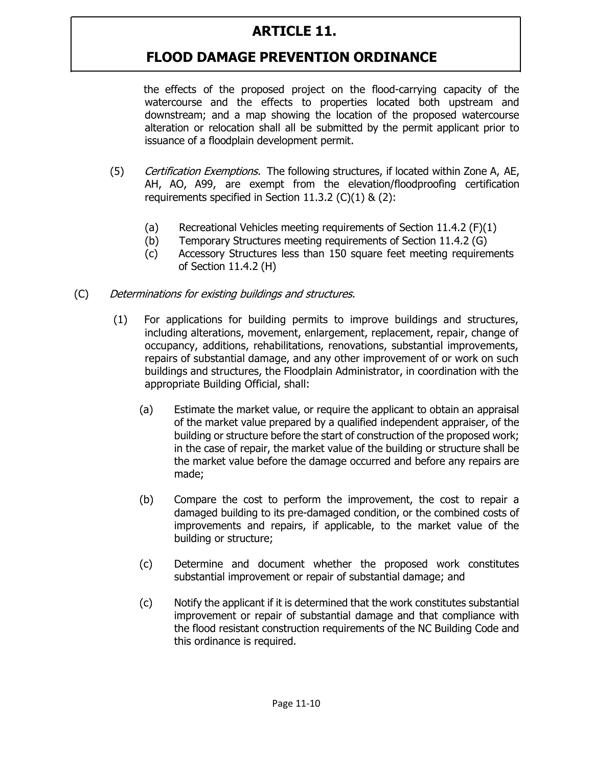# **FLOOD DAMAGE PREVENTION ORDINANCE**

the effects of the proposed project on the flood-carrying capacity of the watercourse and the effects to properties located both upstream and downstream; and a map showing the location of the proposed watercourse alteration or relocation shall all be submitted by the permit applicant prior to issuance of a floodplain development permit.

- (5) Certification Exemptions. The following structures, if located within Zone A, AE, AH, AO, A99, are exempt from the elevation/floodproofing certification requirements specified in Section 11.3.2  $(C)(1)$  &  $(2)$ :
	- (a) Recreational Vehicles meeting requirements of Section 11.4.2 (F)(1)
	- (b) Temporary Structures meeting requirements of Section 11.4.2 (G)
	- (c) Accessory Structures less than 150 square feet meeting requirements of Section 11.4.2 (H)
- (C) Determinations for existing buildings and structures.
	- (1) For applications for building permits to improve buildings and structures, including alterations, movement, enlargement, replacement, repair, change of occupancy, additions, rehabilitations, renovations, substantial improvements, repairs of substantial damage, and any other improvement of or work on such buildings and structures, the Floodplain Administrator, in coordination with the appropriate Building Official, shall:
		- (a) Estimate the market value, or require the applicant to obtain an appraisal of the market value prepared by a qualified independent appraiser, of the building or structure before the start of construction of the proposed work; in the case of repair, the market value of the building or structure shall be the market value before the damage occurred and before any repairs are made;
		- (b) Compare the cost to perform the improvement, the cost to repair a damaged building to its pre-damaged condition, or the combined costs of improvements and repairs, if applicable, to the market value of the building or structure;
		- (c) Determine and document whether the proposed work constitutes substantial improvement or repair of substantial damage; and
		- (c) Notify the applicant if it is determined that the work constitutes substantial improvement or repair of substantial damage and that compliance with the flood resistant construction requirements of the NC Building Code and this ordinance is required.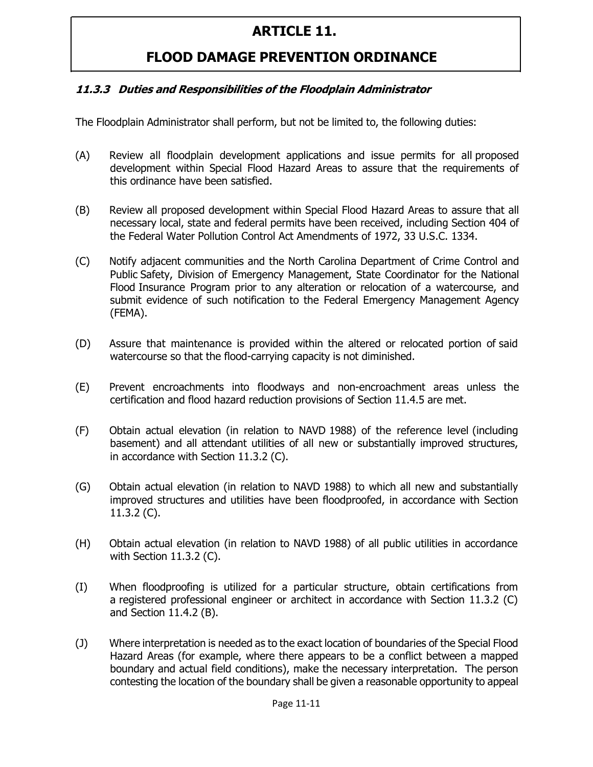## **FLOOD DAMAGE PREVENTION ORDINANCE**

#### **11.3.3 Duties and Responsibilities of the Floodplain Administrator**

The Floodplain Administrator shall perform, but not be limited to, the following duties:

- (A) Review all floodplain development applications and issue permits for all proposed development within Special Flood Hazard Areas to assure that the requirements of this ordinance have been satisfied.
- (B) Review all proposed development within Special Flood Hazard Areas to assure that all necessary local, state and federal permits have been received, including Section 404 of the Federal Water Pollution Control Act Amendments of 1972, 33 U.S.C. 1334.
- (C) Notify adjacent communities and the North Carolina Department of Crime Control and Public Safety, Division of Emergency Management, State Coordinator for the National Flood Insurance Program prior to any alteration or relocation of a watercourse, and submit evidence of such notification to the Federal Emergency Management Agency (FEMA).
- (D) Assure that maintenance is provided within the altered or relocated portion of said watercourse so that the flood-carrying capacity is not diminished.
- (E) Prevent encroachments into floodways and non-encroachment areas unless the certification and flood hazard reduction provisions of Section 11.4.5 are met.
- (F) Obtain actual elevation (in relation to NAVD 1988) of the reference level (including basement) and all attendant utilities of all new or substantially improved structures, in accordance with Section 11.3.2 (C).
- (G) Obtain actual elevation (in relation to NAVD 1988) to which all new and substantially improved structures and utilities have been floodproofed, in accordance with Section 11.3.2 (C).
- (H) Obtain actual elevation (in relation to NAVD 1988) of all public utilities in accordance with Section 11.3.2 (C).
- (I) When floodproofing is utilized for a particular structure, obtain certifications from a registered professional engineer or architect in accordance with Section 11.3.2 (C) and Section 11.4.2 (B).
- (J) Where interpretation is needed as to the exact location of boundaries of the Special Flood Hazard Areas (for example, where there appears to be a conflict between a mapped boundary and actual field conditions), make the necessary interpretation. The person contesting the location of the boundary shall be given a reasonable opportunity to appeal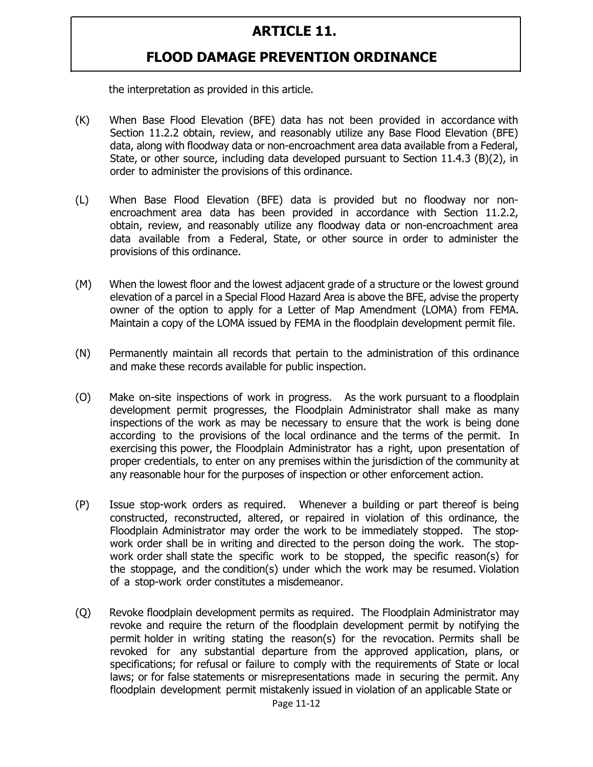#### **FLOOD DAMAGE PREVENTION ORDINANCE**

the interpretation as provided in this article.

- (K) When Base Flood Elevation (BFE) data has not been provided in accordance with Section 11.2.2 obtain, review, and reasonably utilize any Base Flood Elevation (BFE) data, along with floodway data or non-encroachment area data available from a Federal, State, or other source, including data developed pursuant to Section 11.4.3 (B)(2), in order to administer the provisions of this ordinance.
- (L) When Base Flood Elevation (BFE) data is provided but no floodway nor nonencroachment area data has been provided in accordance with Section 11.2.2, obtain, review, and reasonably utilize any floodway data or non-encroachment area data available from a Federal, State, or other source in order to administer the provisions of this ordinance.
- (M) When the lowest floor and the lowest adjacent grade of a structure or the lowest ground elevation of a parcel in a Special Flood Hazard Area is above the BFE, advise the property owner of the option to apply for a Letter of Map Amendment (LOMA) from FEMA. Maintain a copy of the LOMA issued by FEMA in the floodplain development permit file.
- (N) Permanently maintain all records that pertain to the administration of this ordinance and make these records available for public inspection.
- (O) Make on-site inspections of work in progress. As the work pursuant to a floodplain development permit progresses, the Floodplain Administrator shall make as many inspections of the work as may be necessary to ensure that the work is being done according to the provisions of the local ordinance and the terms of the permit. In exercising this power, the Floodplain Administrator has a right, upon presentation of proper credentials, to enter on any premises within the jurisdiction of the community at any reasonable hour for the purposes of inspection or other enforcement action.
- (P) Issue stop-work orders as required. Whenever a building or part thereof is being constructed, reconstructed, altered, or repaired in violation of this ordinance, the Floodplain Administrator may order the work to be immediately stopped. The stopwork order shall be in writing and directed to the person doing the work. The stopwork order shall state the specific work to be stopped, the specific reason(s) for the stoppage, and the condition(s) under which the work may be resumed. Violation of a stop-work order constitutes a misdemeanor.
- (Q) Revoke floodplain development permits as required. The Floodplain Administrator may revoke and require the return of the floodplain development permit by notifying the permit holder in writing stating the reason(s) for the revocation. Permits shall be revoked for any substantial departure from the approved application, plans, or specifications; for refusal or failure to comply with the requirements of State or local laws; or for false statements or misrepresentations made in securing the permit. Any floodplain development permit mistakenly issued in violation of an applicable State or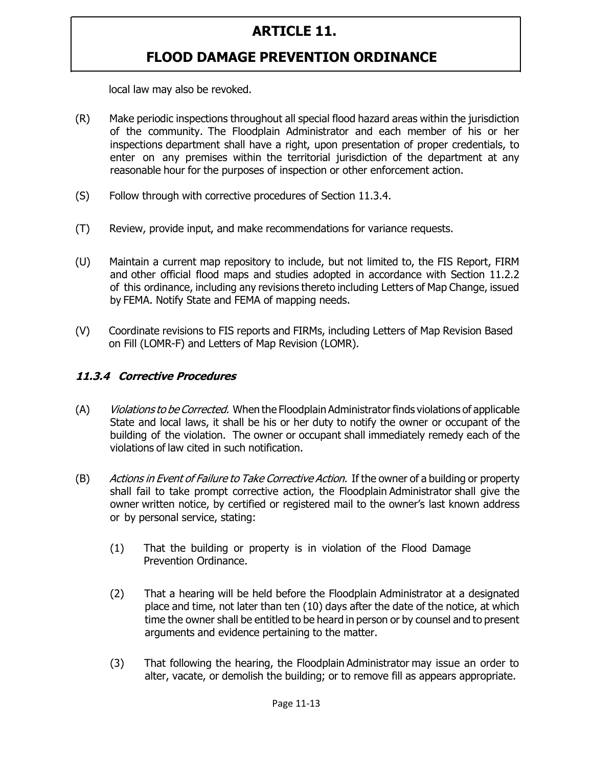# **FLOOD DAMAGE PREVENTION ORDINANCE**

local law may also be revoked.

- (R) Make periodic inspections throughout all special flood hazard areas within the jurisdiction of the community. The Floodplain Administrator and each member of his or her inspections department shall have a right, upon presentation of proper credentials, to enter on any premises within the territorial jurisdiction of the department at any reasonable hour for the purposes of inspection or other enforcement action.
- (S) Follow through with corrective procedures of Section 11.3.4.
- (T) Review, provide input, and make recommendations for variance requests.
- (U) Maintain a current map repository to include, but not limited to, the FIS Report, FIRM and other official flood maps and studies adopted in accordance with Section 11.2.2 of this ordinance, including any revisions thereto including Letters of Map Change, issued by FEMA. Notify State and FEMA of mapping needs.
- (V) Coordinate revisions to FIS reports and FIRMs, including Letters of Map Revision Based on Fill (LOMR-F) and Letters of Map Revision (LOMR).

#### **11.3.4 Corrective Procedures**

- (A) Violations to be Corrected. When the Floodplain Administrator finds violations of applicable State and local laws, it shall be his or her duty to notify the owner or occupant of the building of the violation. The owner or occupant shall immediately remedy each of the violations of law cited in such notification.
- (B) Actions in Event of Failure to Take Corrective Action. If the owner of a building or property shall fail to take prompt corrective action, the Floodplain Administrator shall give the owner written notice, by certified or registered mail to the owner's last known address or by personal service, stating:
	- (1) That the building or property is in violation of the Flood Damage Prevention Ordinance.
	- (2) That a hearing will be held before the Floodplain Administrator at a designated place and time, not later than ten (10) days after the date of the notice, at which time the owner shall be entitled to be heard in person or by counsel and to present arguments and evidence pertaining to the matter.
	- (3) That following the hearing, the Floodplain Administrator may issue an order to alter, vacate, or demolish the building; or to remove fill as appears appropriate.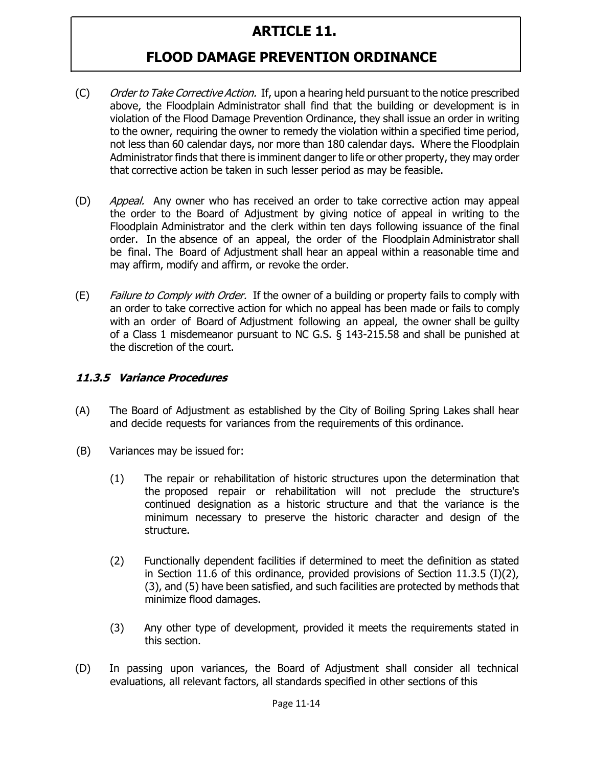## **FLOOD DAMAGE PREVENTION ORDINANCE**

- (C) Order to Take Corrective Action. If, upon a hearing held pursuant to the notice prescribed above, the Floodplain Administrator shall find that the building or development is in violation of the Flood Damage Prevention Ordinance, they shall issue an order in writing to the owner, requiring the owner to remedy the violation within a specified time period, not less than 60 calendar days, nor more than 180 calendar days. Where the Floodplain Administrator finds that there is imminent danger to life or other property, they may order that corrective action be taken in such lesser period as may be feasible.
- (D) *Appeal.* Any owner who has received an order to take corrective action may appeal the order to the Board of Adjustment by giving notice of appeal in writing to the Floodplain Administrator and the clerk within ten days following issuance of the final order. In the absence of an appeal, the order of the Floodplain Administrator shall be final. The Board of Adjustment shall hear an appeal within a reasonable time and may affirm, modify and affirm, or revoke the order.
- (E) Failure to Comply with Order. If the owner of a building or property fails to comply with an order to take corrective action for which no appeal has been made or fails to comply with an order of Board of Adjustment following an appeal, the owner shall be guilty of a Class 1 misdemeanor pursuant to NC G.S. § 143-215.58 and shall be punished at the discretion of the court.

#### **11.3.5 Variance Procedures**

- (A) The Board of Adjustment as established by the City of Boiling Spring Lakes shall hear and decide requests for variances from the requirements of this ordinance.
- (B) Variances may be issued for:
	- (1) The repair or rehabilitation of historic structures upon the determination that the proposed repair or rehabilitation will not preclude the structure's continued designation as a historic structure and that the variance is the minimum necessary to preserve the historic character and design of the structure.
	- (2) Functionally dependent facilities if determined to meet the definition as stated in Section 11.6 of this ordinance, provided provisions of Section 11.3.5 (I)(2), (3), and (5) have been satisfied, and such facilities are protected by methods that minimize flood damages.
	- (3) Any other type of development, provided it meets the requirements stated in this section.
- (D) In passing upon variances, the Board of Adjustment shall consider all technical evaluations, all relevant factors, all standards specified in other sections of this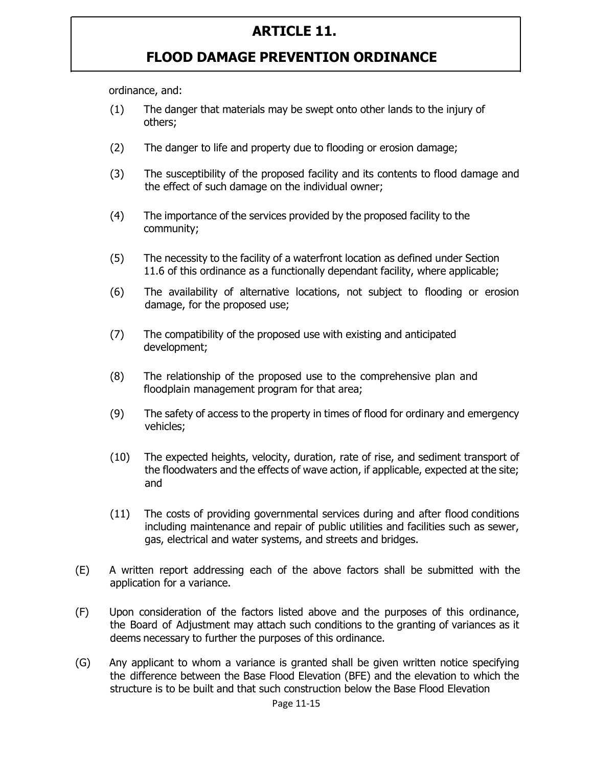#### **FLOOD DAMAGE PREVENTION ORDINANCE**

ordinance, and:

- (1) The danger that materials may be swept onto other lands to the injury of others;
- (2) The danger to life and property due to flooding or erosion damage;
- (3) The susceptibility of the proposed facility and its contents to flood damage and the effect of such damage on the individual owner;
- (4) The importance of the services provided by the proposed facility to the community;
- (5) The necessity to the facility of a waterfront location as defined under Section 11.6 of this ordinance as a functionally dependant facility, where applicable;
- (6) The availability of alternative locations, not subject to flooding or erosion damage, for the proposed use;
- (7) The compatibility of the proposed use with existing and anticipated development;
- (8) The relationship of the proposed use to the comprehensive plan and floodplain management program for that area;
- (9) The safety of access to the property in times of flood for ordinary and emergency vehicles;
- (10) The expected heights, velocity, duration, rate of rise, and sediment transport of the floodwaters and the effects of wave action, if applicable, expected at the site; and
- (11) The costs of providing governmental services during and after flood conditions including maintenance and repair of public utilities and facilities such as sewer, gas, electrical and water systems, and streets and bridges.
- (E) A written report addressing each of the above factors shall be submitted with the application for a variance.
- (F) Upon consideration of the factors listed above and the purposes of this ordinance, the Board of Adjustment may attach such conditions to the granting of variances as it deems necessary to further the purposes of this ordinance.
- (G) Any applicant to whom a variance is granted shall be given written notice specifying the difference between the Base Flood Elevation (BFE) and the elevation to which the structure is to be built and that such construction below the Base Flood Elevation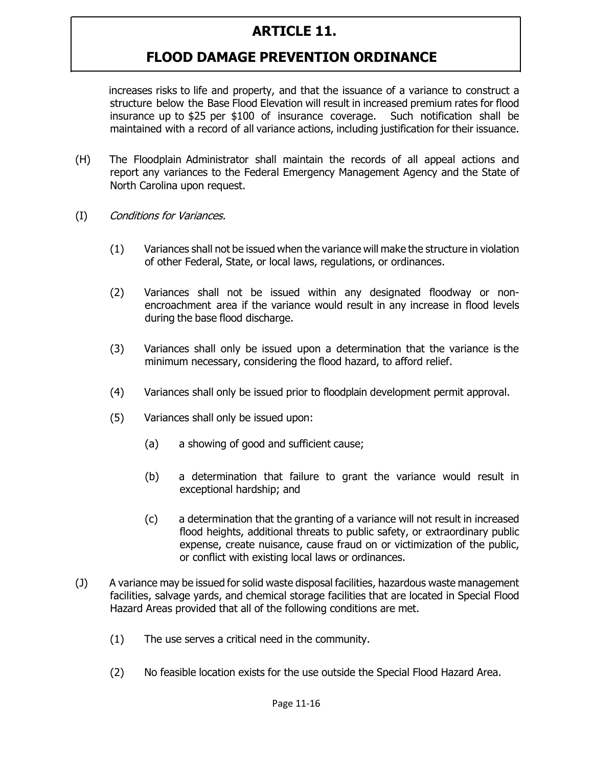# **FLOOD DAMAGE PREVENTION ORDINANCE**

increases risks to life and property, and that the issuance of a variance to construct a structure below the Base Flood Elevation will result in increased premium rates for flood insurance up to \$25 per \$100 of insurance coverage. Such notification shall be maintained with a record of all variance actions, including justification for their issuance.

- (H) The Floodplain Administrator shall maintain the records of all appeal actions and report any variances to the Federal Emergency Management Agency and the State of North Carolina upon request.
- (I) Conditions for Variances.
	- (1) Variances shall not be issued when the variance will make the structure in violation of other Federal, State, or local laws, regulations, or ordinances.
	- (2) Variances shall not be issued within any designated floodway or nonencroachment area if the variance would result in any increase in flood levels during the base flood discharge.
	- (3) Variances shall only be issued upon a determination that the variance is the minimum necessary, considering the flood hazard, to afford relief.
	- (4) Variances shall only be issued prior to floodplain development permit approval.
	- (5) Variances shall only be issued upon:
		- (a) a showing of good and sufficient cause;
		- (b) a determination that failure to grant the variance would result in exceptional hardship; and
		- (c) a determination that the granting of a variance will not result in increased flood heights, additional threats to public safety, or extraordinary public expense, create nuisance, cause fraud on or victimization of the public, or conflict with existing local laws or ordinances.
- (J) A variance may be issued for solid waste disposal facilities, hazardous waste management facilities, salvage yards, and chemical storage facilities that are located in Special Flood Hazard Areas provided that all of the following conditions are met.
	- (1) The use serves a critical need in the community.
	- (2) No feasible location exists for the use outside the Special Flood Hazard Area.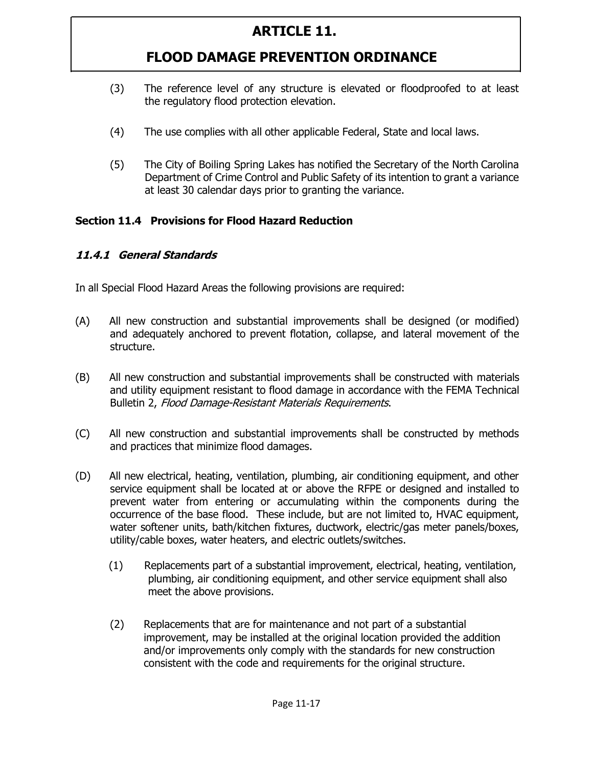# **FLOOD DAMAGE PREVENTION ORDINANCE**

- (3) The reference level of any structure is elevated or floodproofed to at least the regulatory flood protection elevation.
- (4) The use complies with all other applicable Federal, State and local laws.
- (5) The City of Boiling Spring Lakes has notified the Secretary of the North Carolina Department of Crime Control and Public Safety of its intention to grant a variance at least 30 calendar days prior to granting the variance.

#### **Section 11.4 Provisions for Flood Hazard Reduction**

#### **11.4.1 General Standards**

In all Special Flood Hazard Areas the following provisions are required:

- (A) All new construction and substantial improvements shall be designed (or modified) and adequately anchored to prevent flotation, collapse, and lateral movement of the structure.
- (B) All new construction and substantial improvements shall be constructed with materials and utility equipment resistant to flood damage in accordance with the FEMA Technical Bulletin 2, Flood Damage-Resistant Materials Requirements.
- (C) All new construction and substantial improvements shall be constructed by methods and practices that minimize flood damages.
- (D) All new electrical, heating, ventilation, plumbing, air conditioning equipment, and other service equipment shall be located at or above the RFPE or designed and installed to prevent water from entering or accumulating within the components during the occurrence of the base flood. These include, but are not limited to, HVAC equipment, water softener units, bath/kitchen fixtures, ductwork, electric/gas meter panels/boxes, utility/cable boxes, water heaters, and electric outlets/switches.
	- (1) Replacements part of a substantial improvement, electrical, heating, ventilation, plumbing, air conditioning equipment, and other service equipment shall also meet the above provisions.
	- (2) Replacements that are for maintenance and not part of a substantial improvement, may be installed at the original location provided the addition and/or improvements only comply with the standards for new construction consistent with the code and requirements for the original structure.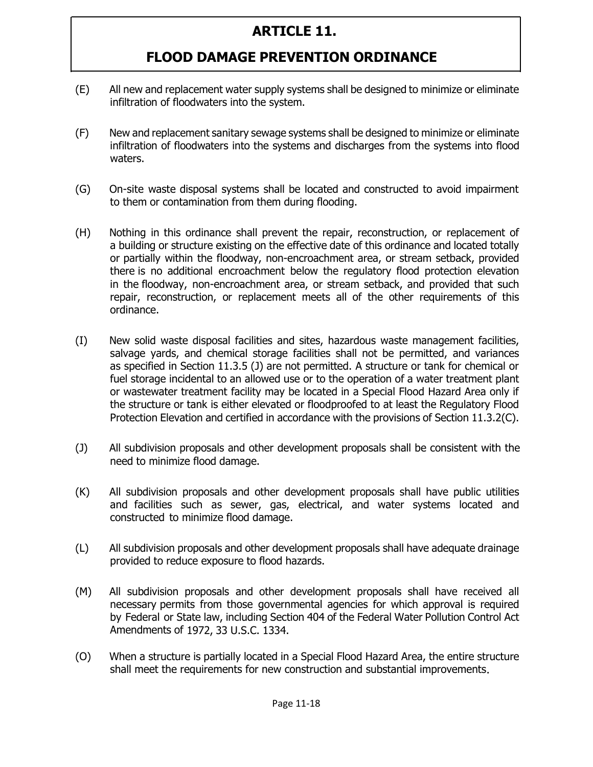- (E) All new and replacement water supply systems shall be designed to minimize or eliminate infiltration of floodwaters into the system.
- (F) New and replacement sanitary sewage systems shall be designed to minimize or eliminate infiltration of floodwaters into the systems and discharges from the systems into flood waters.
- (G) On-site waste disposal systems shall be located and constructed to avoid impairment to them or contamination from them during flooding.
- (H) Nothing in this ordinance shall prevent the repair, reconstruction, or replacement of a building or structure existing on the effective date of this ordinance and located totally or partially within the floodway, non-encroachment area, or stream setback, provided there is no additional encroachment below the regulatory flood protection elevation in the floodway, non-encroachment area, or stream setback, and provided that such repair, reconstruction, or replacement meets all of the other requirements of this ordinance.
- (I) New solid waste disposal facilities and sites, hazardous waste management facilities, salvage yards, and chemical storage facilities shall not be permitted, and variances as specified in Section 11.3.5 (J) are not permitted. A structure or tank for chemical or fuel storage incidental to an allowed use or to the operation of a water treatment plant or wastewater treatment facility may be located in a Special Flood Hazard Area only if the structure or tank is either elevated or floodproofed to at least the Regulatory Flood Protection Elevation and certified in accordance with the provisions of Section 11.3.2(C).
- (J) All subdivision proposals and other development proposals shall be consistent with the need to minimize flood damage.
- (K) All subdivision proposals and other development proposals shall have public utilities and facilities such as sewer, gas, electrical, and water systems located and constructed to minimize flood damage.
- (L) All subdivision proposals and other development proposals shall have adequate drainage provided to reduce exposure to flood hazards.
- (M) All subdivision proposals and other development proposals shall have received all necessary permits from those governmental agencies for which approval is required by Federal or State law, including Section 404 of the Federal Water Pollution Control Act Amendments of 1972, 33 U.S.C. 1334.
- (O) When a structure is partially located in a Special Flood Hazard Area, the entire structure shall meet the requirements for new construction and substantial improvements.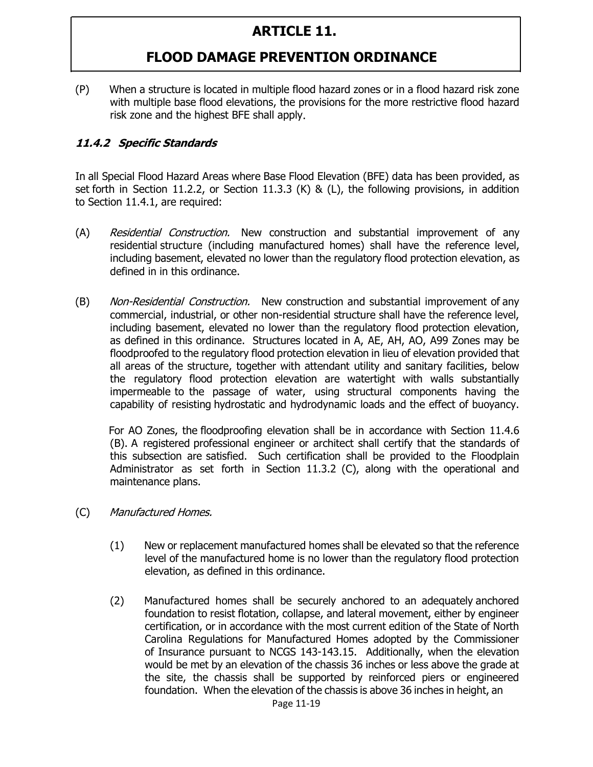## **FLOOD DAMAGE PREVENTION ORDINANCE**

(P) When a structure is located in multiple flood hazard zones or in a flood hazard risk zone with multiple base flood elevations, the provisions for the more restrictive flood hazard risk zone and the highest BFE shall apply.

#### **11.4.2 Specific Standards**

In all Special Flood Hazard Areas where Base Flood Elevation (BFE) data has been provided, as set forth in Section 11.2.2, or Section 11.3.3 (K) & (L), the following provisions, in addition to Section 11.4.1, are required:

- (A) Residential Construction. New construction and substantial improvement of any residential structure (including manufactured homes) shall have the reference level, including basement, elevated no lower than the regulatory flood protection elevation, as defined in in this ordinance.
- (B) Non-Residential Construction. New construction and substantial improvement of any commercial, industrial, or other non-residential structure shall have the reference level, including basement, elevated no lower than the regulatory flood protection elevation, as defined in this ordinance. Structures located in A, AE, AH, AO, A99 Zones may be floodproofed to the regulatory flood protection elevation in lieu of elevation provided that all areas of the structure, together with attendant utility and sanitary facilities, below the regulatory flood protection elevation are watertight with walls substantially impermeable to the passage of water, using structural components having the capability of resisting hydrostatic and hydrodynamic loads and the effect of buoyancy.

For AO Zones, the floodproofing elevation shall be in accordance with Section 11.4.6 (B). A registered professional engineer or architect shall certify that the standards of this subsection are satisfied. Such certification shall be provided to the Floodplain Administrator as set forth in Section 11.3.2 (C), along with the operational and maintenance plans.

- (C) Manufactured Homes.
	- (1) New or replacement manufactured homes shall be elevated so that the reference level of the manufactured home is no lower than the regulatory flood protection elevation, as defined in this ordinance.
	- (2) Manufactured homes shall be securely anchored to an adequately anchored foundation to resist flotation, collapse, and lateral movement, either by engineer certification, or in accordance with the most current edition of the State of North Carolina Regulations for Manufactured Homes adopted by the Commissioner of Insurance pursuant to NCGS 143-143.15. Additionally, when the elevation would be met by an elevation of the chassis 36 inches or less above the grade at the site, the chassis shall be supported by reinforced piers or engineered foundation. When the elevation of the chassis is above 36 inches in height, an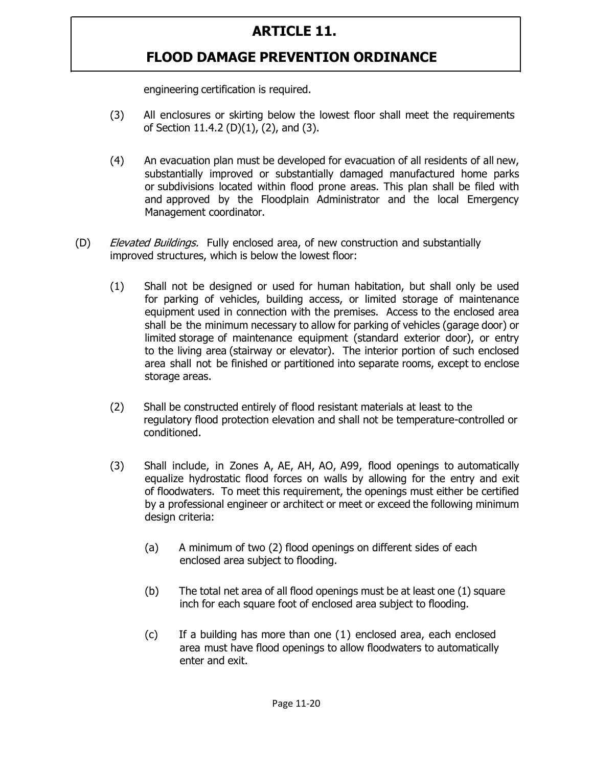## **FLOOD DAMAGE PREVENTION ORDINANCE**

engineering certification is required.

- (3) All enclosures or skirting below the lowest floor shall meet the requirements of Section 11.4.2 (D)(1), (2), and (3).
- (4) An evacuation plan must be developed for evacuation of all residents of all new, substantially improved or substantially damaged manufactured home parks or subdivisions located within flood prone areas. This plan shall be filed with and approved by the Floodplain Administrator and the local Emergency Management coordinator.
- (D) Elevated Buildings. Fully enclosed area, of new construction and substantially improved structures, which is below the lowest floor:
	- (1) Shall not be designed or used for human habitation, but shall only be used for parking of vehicles, building access, or limited storage of maintenance equipment used in connection with the premises. Access to the enclosed area shall be the minimum necessary to allow for parking of vehicles (garage door) or limited storage of maintenance equipment (standard exterior door), or entry to the living area (stairway or elevator). The interior portion of such enclosed area shall not be finished or partitioned into separate rooms, except to enclose storage areas.
	- (2) Shall be constructed entirely of flood resistant materials at least to the regulatory flood protection elevation and shall not be temperature-controlled or conditioned.
	- (3) Shall include, in Zones A, AE, AH, AO, A99, flood openings to automatically equalize hydrostatic flood forces on walls by allowing for the entry and exit of floodwaters. To meet this requirement, the openings must either be certified by a professional engineer or architect or meet or exceed the following minimum design criteria:
		- (a) A minimum of two (2) flood openings on different sides of each enclosed area subject to flooding.
		- (b) The total net area of all flood openings must be at least one (1) square inch for each square foot of enclosed area subject to flooding.
		- (c) If a building has more than one (1) enclosed area, each enclosed area must have flood openings to allow floodwaters to automatically enter and exit.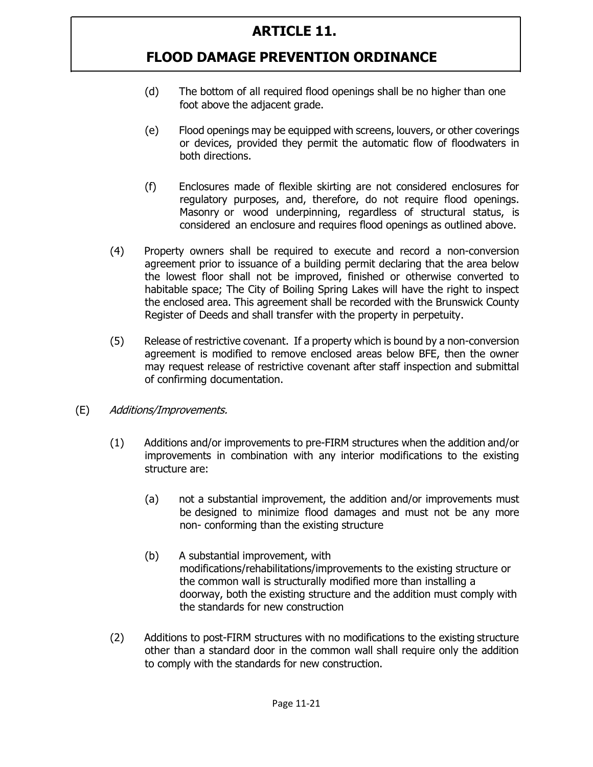- (d) The bottom of all required flood openings shall be no higher than one foot above the adjacent grade.
- (e) Flood openings may be equipped with screens, louvers, or other coverings or devices, provided they permit the automatic flow of floodwaters in both directions.
- (f) Enclosures made of flexible skirting are not considered enclosures for regulatory purposes, and, therefore, do not require flood openings. Masonry or wood underpinning, regardless of structural status, is considered an enclosure and requires flood openings as outlined above.
- (4) Property owners shall be required to execute and record a non-conversion agreement prior to issuance of a building permit declaring that the area below the lowest floor shall not be improved, finished or otherwise converted to habitable space; The City of Boiling Spring Lakes will have the right to inspect the enclosed area. This agreement shall be recorded with the Brunswick County Register of Deeds and shall transfer with the property in perpetuity.
- (5) Release of restrictive covenant. If a property which is bound by a non-conversion agreement is modified to remove enclosed areas below BFE, then the owner may request release of restrictive covenant after staff inspection and submittal of confirming documentation.
- (E) Additions/Improvements.
	- (1) Additions and/or improvements to pre-FIRM structures when the addition and/or improvements in combination with any interior modifications to the existing structure are:
		- (a) not a substantial improvement, the addition and/or improvements must be designed to minimize flood damages and must not be any more non- conforming than the existing structure
		- (b) A substantial improvement, with modifications/rehabilitations/improvements to the existing structure or the common wall is structurally modified more than installing a doorway, both the existing structure and the addition must comply with the standards for new construction
	- (2) Additions to post-FIRM structures with no modifications to the existing structure other than a standard door in the common wall shall require only the addition to comply with the standards for new construction.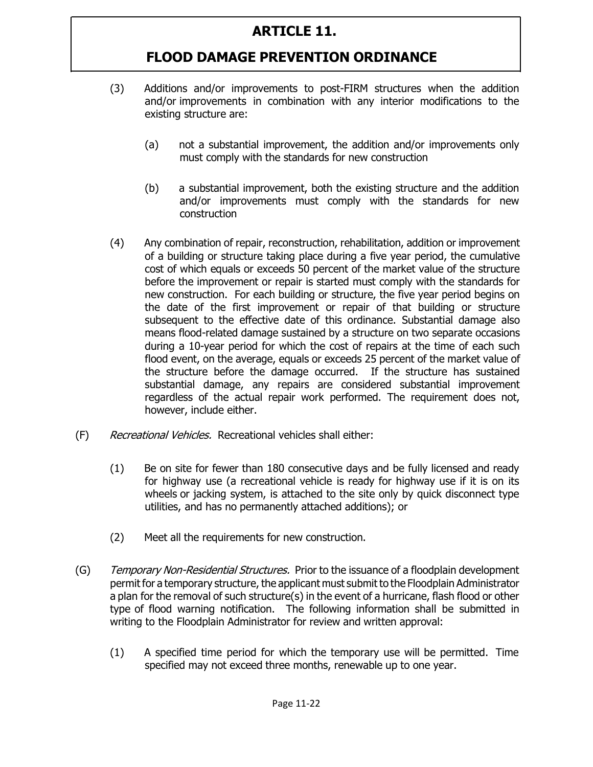- (3) Additions and/or improvements to post-FIRM structures when the addition and/or improvements in combination with any interior modifications to the existing structure are:
	- (a) not a substantial improvement, the addition and/or improvements only must comply with the standards for new construction
	- (b) a substantial improvement, both the existing structure and the addition and/or improvements must comply with the standards for new construction
- (4) Any combination of repair, reconstruction, rehabilitation, addition or improvement of a building or structure taking place during a five year period, the cumulative cost of which equals or exceeds 50 percent of the market value of the structure before the improvement or repair is started must comply with the standards for new construction. For each building or structure, the five year period begins on the date of the first improvement or repair of that building or structure subsequent to the effective date of this ordinance. Substantial damage also means flood-related damage sustained by a structure on two separate occasions during a 10-year period for which the cost of repairs at the time of each such flood event, on the average, equals or exceeds 25 percent of the market value of the structure before the damage occurred. If the structure has sustained substantial damage, any repairs are considered substantial improvement regardless of the actual repair work performed. The requirement does not, however, include either.
- (F) Recreational Vehicles. Recreational vehicles shall either:
	- (1) Be on site for fewer than 180 consecutive days and be fully licensed and ready for highway use (a recreational vehicle is ready for highway use if it is on its wheels or jacking system, is attached to the site only by quick disconnect type utilities, and has no permanently attached additions); or
	- (2) Meet all the requirements for new construction.
- (G) Temporary Non-Residential Structures. Prior to the issuance of a floodplain development permit for a temporary structure, the applicant must submit to the Floodplain Administrator a plan for the removal of such structure(s) in the event of a hurricane, flash flood or other type of flood warning notification. The following information shall be submitted in writing to the Floodplain Administrator for review and written approval:
	- (1) A specified time period for which the temporary use will be permitted. Time specified may not exceed three months, renewable up to one year.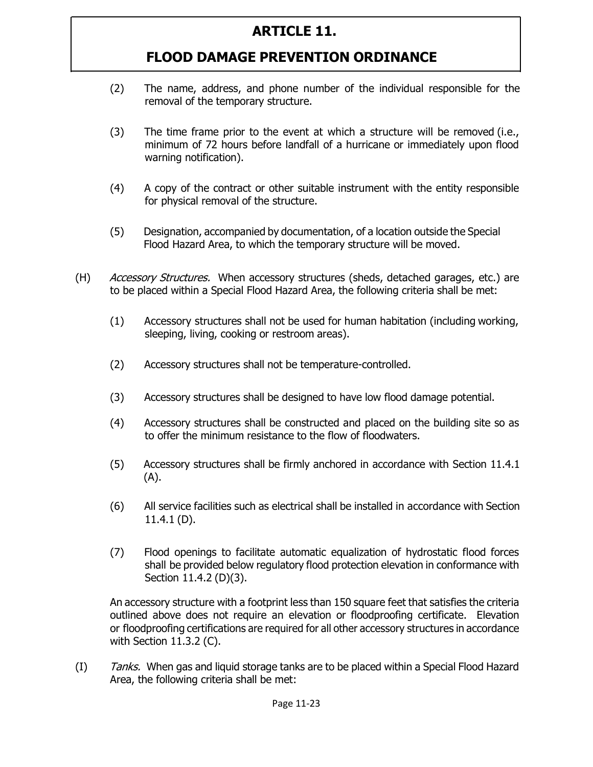### **FLOOD DAMAGE PREVENTION ORDINANCE**

- (2) The name, address, and phone number of the individual responsible for the removal of the temporary structure.
- (3) The time frame prior to the event at which a structure will be removed (i.e., minimum of 72 hours before landfall of a hurricane or immediately upon flood warning notification).
- (4) A copy of the contract or other suitable instrument with the entity responsible for physical removal of the structure.
- (5) Designation, accompanied by documentation, of a location outside the Special Flood Hazard Area, to which the temporary structure will be moved.
- (H) *Accessory Structures.* When accessory structures (sheds, detached garages, etc.) are to be placed within a Special Flood Hazard Area, the following criteria shall be met:
	- (1) Accessory structures shall not be used for human habitation (including working, sleeping, living, cooking or restroom areas).
	- (2) Accessory structures shall not be temperature-controlled.
	- (3) Accessory structures shall be designed to have low flood damage potential.
	- (4) Accessory structures shall be constructed and placed on the building site so as to offer the minimum resistance to the flow of floodwaters.
	- (5) Accessory structures shall be firmly anchored in accordance with Section 11.4.1 (A).
	- (6) All service facilities such as electrical shall be installed in accordance with Section 11.4.1 (D).
	- (7) Flood openings to facilitate automatic equalization of hydrostatic flood forces shall be provided below regulatory flood protection elevation in conformance with Section 11.4.2 (D)(3).

An accessory structure with a footprint less than 150 square feet that satisfies the criteria outlined above does not require an elevation or floodproofing certificate. Elevation or floodproofing certifications are required for all other accessory structures in accordance with Section 11.3.2 (C).

(I) Tanks. When gas and liquid storage tanks are to be placed within a Special Flood Hazard Area, the following criteria shall be met: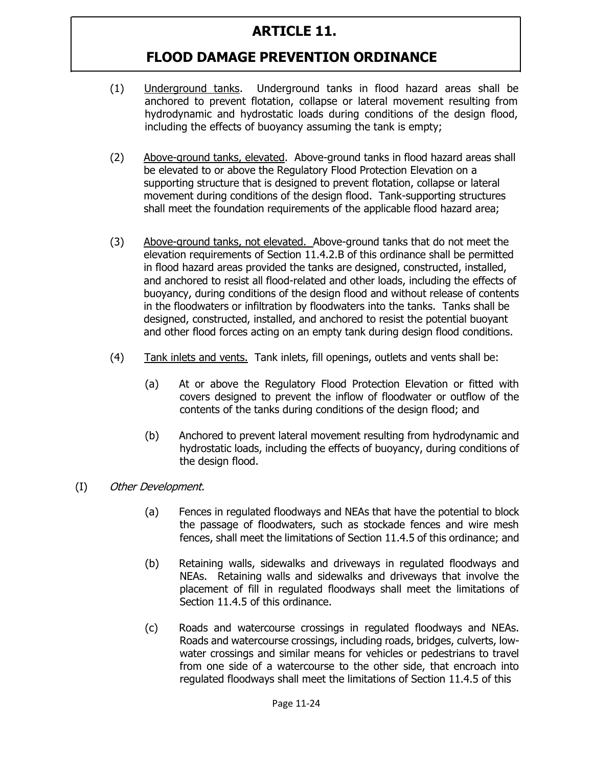- (1) Underground tanks. Underground tanks in flood hazard areas shall be anchored to prevent flotation, collapse or lateral movement resulting from hydrodynamic and hydrostatic loads during conditions of the design flood, including the effects of buoyancy assuming the tank is empty;
- (2) Above-ground tanks, elevated. Above-ground tanks in flood hazard areas shall be elevated to or above the Regulatory Flood Protection Elevation on a supporting structure that is designed to prevent flotation, collapse or lateral movement during conditions of the design flood. Tank-supporting structures shall meet the foundation requirements of the applicable flood hazard area;
- (3) Above-ground tanks, not elevated. Above-ground tanks that do not meet the elevation requirements of Section 11.4.2.B of this ordinance shall be permitted in flood hazard areas provided the tanks are designed, constructed, installed, and anchored to resist all flood-related and other loads, including the effects of buoyancy, during conditions of the design flood and without release of contents in the floodwaters or infiltration by floodwaters into the tanks. Tanks shall be designed, constructed, installed, and anchored to resist the potential buoyant and other flood forces acting on an empty tank during design flood conditions.
- (4) Tank inlets and vents. Tank inlets, fill openings, outlets and vents shall be:
	- (a) At or above the Regulatory Flood Protection Elevation or fitted with covers designed to prevent the inflow of floodwater or outflow of the contents of the tanks during conditions of the design flood; and
	- (b) Anchored to prevent lateral movement resulting from hydrodynamic and hydrostatic loads, including the effects of buoyancy, during conditions of the design flood.
- (I) Other Development.
	- (a) Fences in regulated floodways and NEAs that have the potential to block the passage of floodwaters, such as stockade fences and wire mesh fences, shall meet the limitations of Section 11.4.5 of this ordinance; and
	- (b) Retaining walls, sidewalks and driveways in regulated floodways and NEAs. Retaining walls and sidewalks and driveways that involve the placement of fill in regulated floodways shall meet the limitations of Section 11.4.5 of this ordinance.
	- (c) Roads and watercourse crossings in regulated floodways and NEAs. Roads and watercourse crossings, including roads, bridges, culverts, lowwater crossings and similar means for vehicles or pedestrians to travel from one side of a watercourse to the other side, that encroach into regulated floodways shall meet the limitations of Section 11.4.5 of this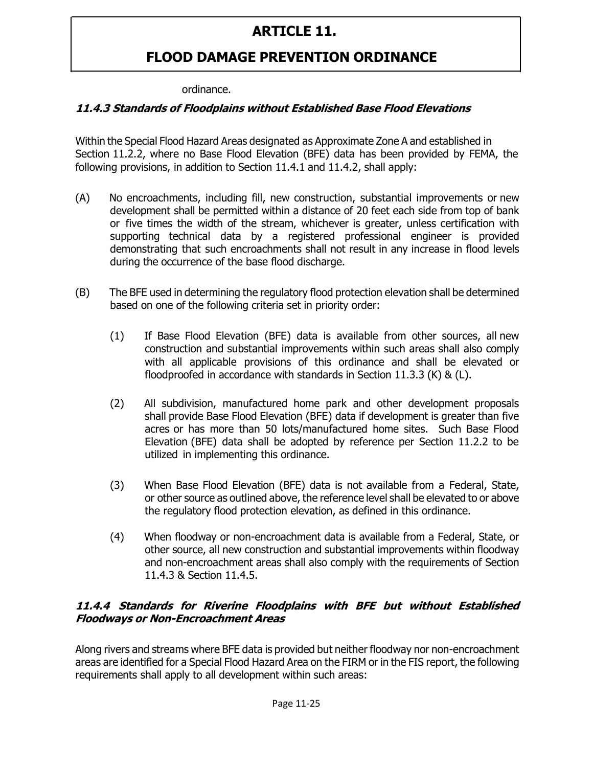### **FLOOD DAMAGE PREVENTION ORDINANCE**

#### ordinance.

#### **11.4.3 Standards of Floodplains without Established Base Flood Elevations**

Within the Special Flood Hazard Areas designated as Approximate Zone A and established in Section 11.2.2, where no Base Flood Elevation (BFE) data has been provided by FEMA, the following provisions, in addition to Section 11.4.1 and 11.4.2, shall apply:

- (A) No encroachments, including fill, new construction, substantial improvements or new development shall be permitted within a distance of 20 feet each side from top of bank or five times the width of the stream, whichever is greater, unless certification with supporting technical data by a registered professional engineer is provided demonstrating that such encroachments shall not result in any increase in flood levels during the occurrence of the base flood discharge.
- (B) The BFE used in determining the regulatory flood protection elevation shall be determined based on one of the following criteria set in priority order:
	- (1) If Base Flood Elevation (BFE) data is available from other sources, all new construction and substantial improvements within such areas shall also comply with all applicable provisions of this ordinance and shall be elevated or floodproofed in accordance with standards in Section 11.3.3 (K) & (L).
	- (2) All subdivision, manufactured home park and other development proposals shall provide Base Flood Elevation (BFE) data if development is greater than five acres or has more than 50 lots/manufactured home sites. Such Base Flood Elevation (BFE) data shall be adopted by reference per Section 11.2.2 to be utilized in implementing this ordinance.
	- (3) When Base Flood Elevation (BFE) data is not available from a Federal, State, or other source as outlined above, the reference level shall be elevated to or above the regulatory flood protection elevation, as defined in this ordinance.
	- (4) When floodway or non-encroachment data is available from a Federal, State, or other source, all new construction and substantial improvements within floodway and non-encroachment areas shall also comply with the requirements of Section 11.4.3 & Section 11.4.5.

#### **11.4.4 Standards for Riverine Floodplains with BFE but without Established Floodways or Non-Encroachment Areas**

Along rivers and streams where BFE data is provided but neither floodway nor non-encroachment areas are identified for a Special Flood Hazard Area on the FIRM or in the FIS report, the following requirements shall apply to all development within such areas: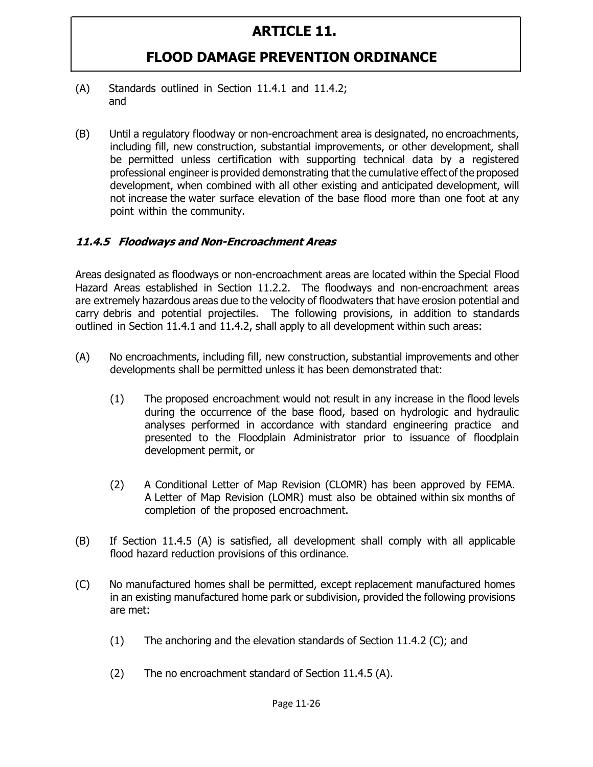## **FLOOD DAMAGE PREVENTION ORDINANCE**

- (A) Standards outlined in Section 11.4.1 and 11.4.2; and
- (B) Until a regulatory floodway or non-encroachment area is designated, no encroachments, including fill, new construction, substantial improvements, or other development, shall be permitted unless certification with supporting technical data by a registered professional engineer is provided demonstrating that the cumulative effect of the proposed development, when combined with all other existing and anticipated development, will not increase the water surface elevation of the base flood more than one foot at any point within the community.

#### **11.4.5 Floodways and Non-Encroachment Areas**

Areas designated as floodways or non-encroachment areas are located within the Special Flood Hazard Areas established in Section 11.2.2. The floodways and non-encroachment areas are extremely hazardous areas due to the velocity of floodwaters that have erosion potential and carry debris and potential projectiles. The following provisions, in addition to standards outlined in Section 11.4.1 and 11.4.2, shall apply to all development within such areas:

- (A) No encroachments, including fill, new construction, substantial improvements and other developments shall be permitted unless it has been demonstrated that:
	- (1) The proposed encroachment would not result in any increase in the flood levels during the occurrence of the base flood, based on hydrologic and hydraulic analyses performed in accordance with standard engineering practice and presented to the Floodplain Administrator prior to issuance of floodplain development permit, or
	- (2) A Conditional Letter of Map Revision (CLOMR) has been approved by FEMA. A Letter of Map Revision (LOMR) must also be obtained within six months of completion of the proposed encroachment.
- (B) If Section 11.4.5 (A) is satisfied, all development shall comply with all applicable flood hazard reduction provisions of this ordinance.
- (C) No manufactured homes shall be permitted, except replacement manufactured homes in an existing manufactured home park or subdivision, provided the following provisions are met:
	- (1) The anchoring and the elevation standards of Section 11.4.2 (C); and
	- (2) The no encroachment standard of Section 11.4.5 (A).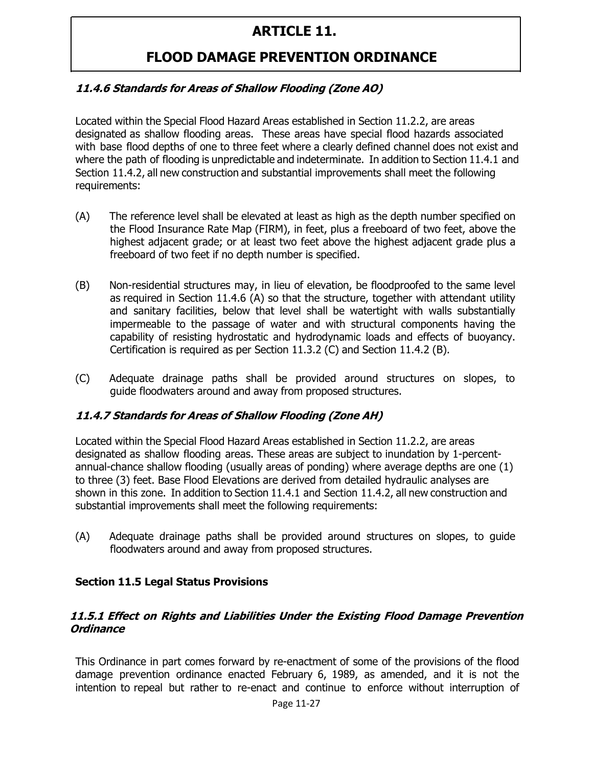### **FLOOD DAMAGE PREVENTION ORDINANCE**

#### **11.4.6 Standards for Areas of Shallow Flooding (Zone AO)**

Located within the Special Flood Hazard Areas established in Section 11.2.2, are areas designated as shallow flooding areas. These areas have special flood hazards associated with base flood depths of one to three feet where a clearly defined channel does not exist and where the path of flooding is unpredictable and indeterminate. In addition to Section 11.4.1 and Section 11.4.2, all new construction and substantial improvements shall meet the following requirements:

- (A) The reference level shall be elevated at least as high as the depth number specified on the Flood Insurance Rate Map (FIRM), in feet, plus a freeboard of two feet, above the highest adjacent grade; or at least two feet above the highest adjacent grade plus a freeboard of two feet if no depth number is specified.
- (B) Non-residential structures may, in lieu of elevation, be floodproofed to the same level as required in Section 11.4.6 (A) so that the structure, together with attendant utility and sanitary facilities, below that level shall be watertight with walls substantially impermeable to the passage of water and with structural components having the capability of resisting hydrostatic and hydrodynamic loads and effects of buoyancy. Certification is required as per Section 11.3.2 (C) and Section 11.4.2 (B).
- (C) Adequate drainage paths shall be provided around structures on slopes, to guide floodwaters around and away from proposed structures.

#### **11.4.7 Standards for Areas of Shallow Flooding (Zone AH)**

Located within the Special Flood Hazard Areas established in Section 11.2.2, are areas designated as shallow flooding areas. These areas are subject to inundation by 1-percentannual-chance shallow flooding (usually areas of ponding) where average depths are one (1) to three (3) feet. Base Flood Elevations are derived from detailed hydraulic analyses are shown in this zone. In addition to Section 11.4.1 and Section 11.4.2, all new construction and substantial improvements shall meet the following requirements:

(A) Adequate drainage paths shall be provided around structures on slopes, to guide floodwaters around and away from proposed structures.

#### **Section 11.5 Legal Status Provisions**

#### **11.5.1 Effect on Rights and Liabilities Under the Existing Flood Damage Prevention Ordinance**

This Ordinance in part comes forward by re-enactment of some of the provisions of the flood damage prevention ordinance enacted February 6, 1989, as amended, and it is not the intention to repeal but rather to re-enact and continue to enforce without interruption of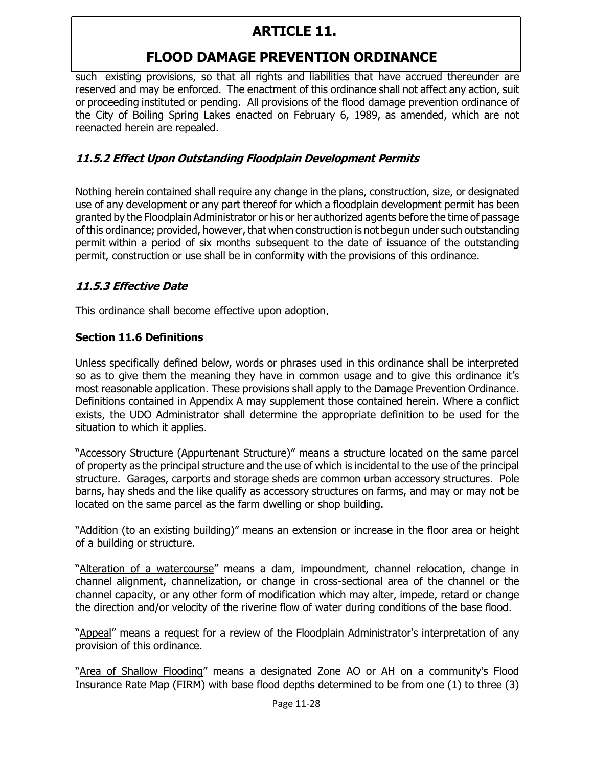# **FLOOD DAMAGE PREVENTION ORDINANCE**

such existing provisions, so that all rights and liabilities that have accrued thereunder are reserved and may be enforced. The enactment of this ordinance shall not affect any action, suit or proceeding instituted or pending. All provisions of the flood damage prevention ordinance of the City of Boiling Spring Lakes enacted on February 6, 1989, as amended, which are not reenacted herein are repealed.

#### **11.5.2 Effect Upon Outstanding Floodplain Development Permits**

Nothing herein contained shall require any change in the plans, construction, size, or designated use of any development or any part thereof for which a floodplain development permit has been granted by the Floodplain Administrator or his or her authorized agents before the time of passage of this ordinance; provided, however, that when construction is not begun under such outstanding permit within a period of six months subsequent to the date of issuance of the outstanding permit, construction or use shall be in conformity with the provisions of this ordinance.

#### **11.5.3 Effective Date**

This ordinance shall become effective upon adoption.

#### **Section 11.6 Definitions**

Unless specifically defined below, words or phrases used in this ordinance shall be interpreted so as to give them the meaning they have in common usage and to give this ordinance it's most reasonable application. These provisions shall apply to the Damage Prevention Ordinance. Definitions contained in Appendix A may supplement those contained herein. Where a conflict exists, the UDO Administrator shall determine the appropriate definition to be used for the situation to which it applies.

"Accessory Structure (Appurtenant Structure)" means a structure located on the same parcel of property as the principal structure and the use of which is incidental to the use of the principal structure. Garages, carports and storage sheds are common urban accessory structures. Pole barns, hay sheds and the like qualify as accessory structures on farms, and may or may not be located on the same parcel as the farm dwelling or shop building.

"Addition (to an existing building)" means an extension or increase in the floor area or height of a building or structure.

"Alteration of a watercourse" means a dam, impoundment, channel relocation, change in channel alignment, channelization, or change in cross-sectional area of the channel or the channel capacity, or any other form of modification which may alter, impede, retard or change the direction and/or velocity of the riverine flow of water during conditions of the base flood.

"Appeal" means a request for a review of the Floodplain Administrator's interpretation of any provision of this ordinance.

"Area of Shallow Flooding" means a designated Zone AO or AH on a community's Flood Insurance Rate Map (FIRM) with base flood depths determined to be from one (1) to three (3)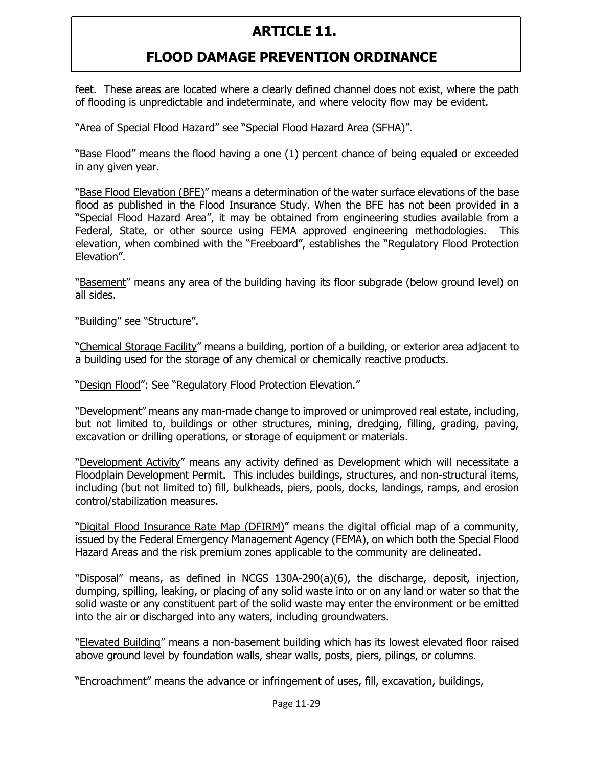# **FLOOD DAMAGE PREVENTION ORDINANCE**

feet. These areas are located where a clearly defined channel does not exist, where the path of flooding is unpredictable and indeterminate, and where velocity flow may be evident.

"Area of Special Flood Hazard" see "Special Flood Hazard Area (SFHA)".

"Base Flood" means the flood having a one (1) percent chance of being equaled or exceeded in any given year.

"Base Flood Elevation (BFE)" means a determination of the water surface elevations of the base flood as published in the Flood Insurance Study. When the BFE has not been provided in a "Special Flood Hazard Area", it may be obtained from engineering studies available from a Federal, State, or other source using FEMA approved engineering methodologies. This elevation, when combined with the "Freeboard", establishes the "Regulatory Flood Protection Elevation".

"Basement" means any area of the building having its floor subgrade (below ground level) on all sides.

"Building" see "Structure".

"Chemical Storage Facility" means a building, portion of a building, or exterior area adjacent to a building used for the storage of any chemical or chemically reactive products.

"Design Flood": See "Regulatory Flood Protection Elevation."

"Development" means any man-made change to improved or unimproved real estate, including, but not limited to, buildings or other structures, mining, dredging, filling, grading, paving, excavation or drilling operations, or storage of equipment or materials.

"Development Activity" means any activity defined as Development which will necessitate a Floodplain Development Permit. This includes buildings, structures, and non-structural items, including (but not limited to) fill, bulkheads, piers, pools, docks, landings, ramps, and erosion control/stabilization measures.

"Digital Flood Insurance Rate Map (DFIRM)" means the digital official map of a community, issued by the Federal Emergency Management Agency (FEMA), on which both the Special Flood Hazard Areas and the risk premium zones applicable to the community are delineated.

"Disposal" means, as defined in NCGS 130A-290(a)(6), the discharge, deposit, injection, dumping, spilling, leaking, or placing of any solid waste into or on any land or water so that the solid waste or any constituent part of the solid waste may enter the environment or be emitted into the air or discharged into any waters, including groundwaters.

"Elevated Building" means a non-basement building which has its lowest elevated floor raised above ground level by foundation walls, shear walls, posts, piers, pilings, or columns.

"Encroachment" means the advance or infringement of uses, fill, excavation, buildings,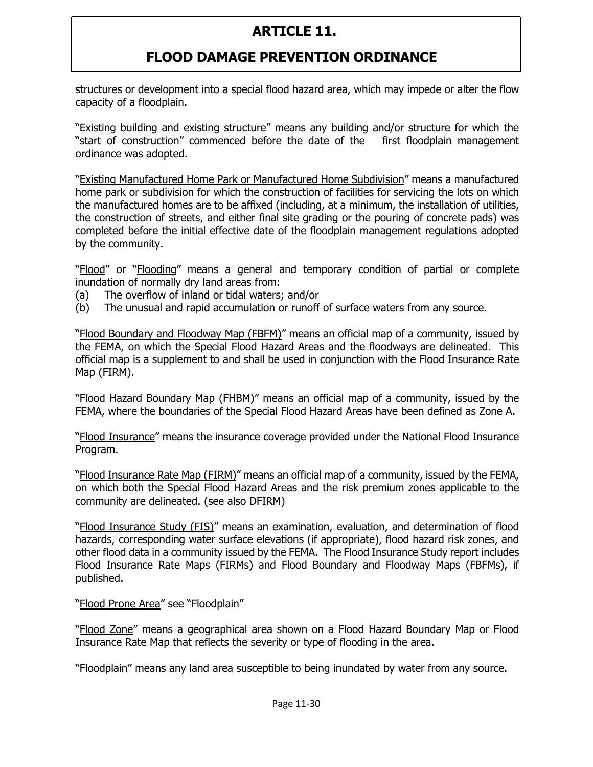## **FLOOD DAMAGE PREVENTION ORDINANCE**

structures or development into a special flood hazard area, which may impede or alter the flow capacity of a floodplain.

"Existing building and existing structure" means any building and/or structure for which the "start of construction" commenced before the date of the first floodplain management ordinance was adopted.

"Existing Manufactured Home Park or Manufactured Home Subdivision" means a manufactured home park or subdivision for which the construction of facilities for servicing the lots on which the manufactured homes are to be affixed (including, at a minimum, the installation of utilities, the construction of streets, and either final site grading or the pouring of concrete pads) was completed before the initial effective date of the floodplain management regulations adopted by the community.

"Flood" or "Flooding" means a general and temporary condition of partial or complete inundation of normally dry land areas from:

- (a) The overflow of inland or tidal waters; and/or
- (b) The unusual and rapid accumulation or runoff of surface waters from any source.

"Flood Boundary and Floodway Map (FBFM)" means an official map of a community, issued by the FEMA, on which the Special Flood Hazard Areas and the floodways are delineated. This official map is a supplement to and shall be used in conjunction with the Flood Insurance Rate Map (FIRM).

"Flood Hazard Boundary Map (FHBM)" means an official map of a community, issued by the FEMA, where the boundaries of the Special Flood Hazard Areas have been defined as Zone A.

"Flood Insurance" means the insurance coverage provided under the National Flood Insurance Program.

"Flood Insurance Rate Map (FIRM)" means an official map of a community, issued by the FEMA, on which both the Special Flood Hazard Areas and the risk premium zones applicable to the community are delineated. (see also DFIRM)

"Flood Insurance Study (FIS)" means an examination, evaluation, and determination of flood hazards, corresponding water surface elevations (if appropriate), flood hazard risk zones, and other flood data in a community issued by the FEMA. The Flood Insurance Study report includes Flood Insurance Rate Maps (FIRMs) and Flood Boundary and Floodway Maps (FBFMs), if published.

"Flood Prone Area" see "Floodplain"

"Flood Zone" means a geographical area shown on a Flood Hazard Boundary Map or Flood Insurance Rate Map that reflects the severity or type of flooding in the area.

"Floodplain" means any land area susceptible to being inundated by water from any source.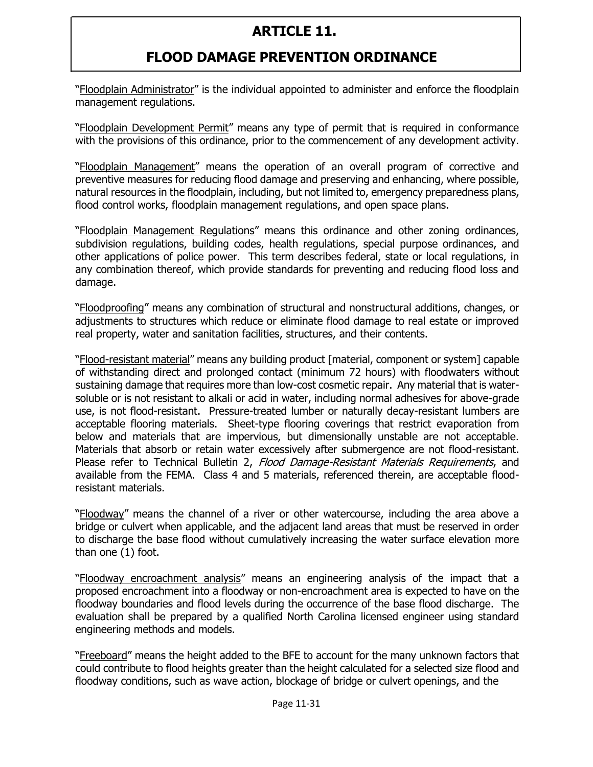### **FLOOD DAMAGE PREVENTION ORDINANCE**

"Floodplain Administrator" is the individual appointed to administer and enforce the floodplain management regulations.

"Floodplain Development Permit" means any type of permit that is required in conformance with the provisions of this ordinance, prior to the commencement of any development activity.

"Floodplain Management" means the operation of an overall program of corrective and preventive measures for reducing flood damage and preserving and enhancing, where possible, natural resources in the floodplain, including, but not limited to, emergency preparedness plans, flood control works, floodplain management regulations, and open space plans.

"Floodplain Management Regulations" means this ordinance and other zoning ordinances, subdivision regulations, building codes, health regulations, special purpose ordinances, and other applications of police power. This term describes federal, state or local regulations, in any combination thereof, which provide standards for preventing and reducing flood loss and damage.

"Floodproofing" means any combination of structural and nonstructural additions, changes, or adjustments to structures which reduce or eliminate flood damage to real estate or improved real property, water and sanitation facilities, structures, and their contents.

"Flood-resistant material" means any building product [material, component or system] capable of withstanding direct and prolonged contact (minimum 72 hours) with floodwaters without sustaining damage that requires more than low-cost cosmetic repair. Any material that is watersoluble or is not resistant to alkali or acid in water, including normal adhesives for above-grade use, is not flood-resistant. Pressure-treated lumber or naturally decay-resistant lumbers are acceptable flooring materials. Sheet-type flooring coverings that restrict evaporation from below and materials that are impervious, but dimensionally unstable are not acceptable. Materials that absorb or retain water excessively after submergence are not flood-resistant. Please refer to Technical Bulletin 2, Flood Damage-Resistant Materials Requirements, and available from the FEMA. Class 4 and 5 materials, referenced therein, are acceptable floodresistant materials.

"Floodway" means the channel of a river or other watercourse, including the area above a bridge or culvert when applicable, and the adjacent land areas that must be reserved in order to discharge the base flood without cumulatively increasing the water surface elevation more than one (1) foot.

"Floodway encroachment analysis" means an engineering analysis of the impact that a proposed encroachment into a floodway or non-encroachment area is expected to have on the floodway boundaries and flood levels during the occurrence of the base flood discharge. The evaluation shall be prepared by a qualified North Carolina licensed engineer using standard engineering methods and models.

"Freeboard" means the height added to the BFE to account for the many unknown factors that could contribute to flood heights greater than the height calculated for a selected size flood and floodway conditions, such as wave action, blockage of bridge or culvert openings, and the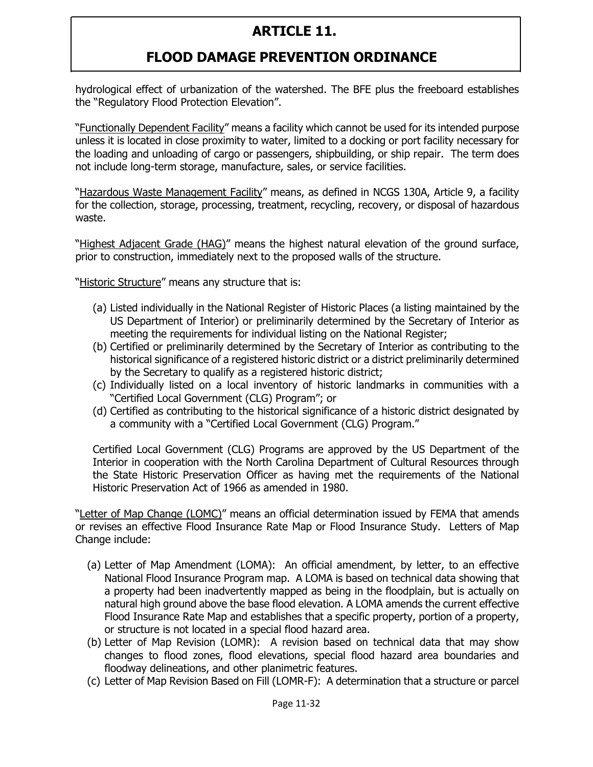### **FLOOD DAMAGE PREVENTION ORDINANCE**

hydrological effect of urbanization of the watershed. The BFE plus the freeboard establishes the "Regulatory Flood Protection Elevation".

"Functionally Dependent Facility" means a facility which cannot be used for its intended purpose unless it is located in close proximity to water, limited to a docking or port facility necessary for the loading and unloading of cargo or passengers, shipbuilding, or ship repair. The term does not include long-term storage, manufacture, sales, or service facilities.

"Hazardous Waste Management Facility" means, as defined in NCGS 130A, Article 9, a facility for the collection, storage, processing, treatment, recycling, recovery, or disposal of hazardous waste.

"Highest Adjacent Grade (HAG)" means the highest natural elevation of the ground surface, prior to construction, immediately next to the proposed walls of the structure.

"Historic Structure" means any structure that is:

- (a) Listed individually in the National Register of Historic Places (a listing maintained by the US Department of Interior) or preliminarily determined by the Secretary of Interior as meeting the requirements for individual listing on the National Register;
- (b) Certified or preliminarily determined by the Secretary of Interior as contributing to the historical significance of a registered historic district or a district preliminarily determined by the Secretary to qualify as a registered historic district;
- (c) Individually listed on a local inventory of historic landmarks in communities with a "Certified Local Government (CLG) Program"; or
- (d) Certified as contributing to the historical significance of a historic district designated by a community with a "Certified Local Government (CLG) Program."

Certified Local Government (CLG) Programs are approved by the US Department of the Interior in cooperation with the North Carolina Department of Cultural Resources through the State Historic Preservation Officer as having met the requirements of the National Historic Preservation Act of 1966 as amended in 1980.

"Letter of Map Change (LOMC)" means an official determination issued by FEMA that amends or revises an effective Flood Insurance Rate Map or Flood Insurance Study. Letters of Map Change include:

- (a) Letter of Map Amendment (LOMA): An official amendment, by letter, to an effective National Flood Insurance Program map. A LOMA is based on technical data showing that a property had been inadvertently mapped as being in the floodplain, but is actually on natural high ground above the base flood elevation. A LOMA amends the current effective Flood Insurance Rate Map and establishes that a specific property, portion of a property, or structure is not located in a special flood hazard area.
- (b) Letter of Map Revision (LOMR): A revision based on technical data that may show changes to flood zones, flood elevations, special flood hazard area boundaries and floodway delineations, and other planimetric features.
- (c) Letter of Map Revision Based on Fill (LOMR-F): A determination that a structure or parcel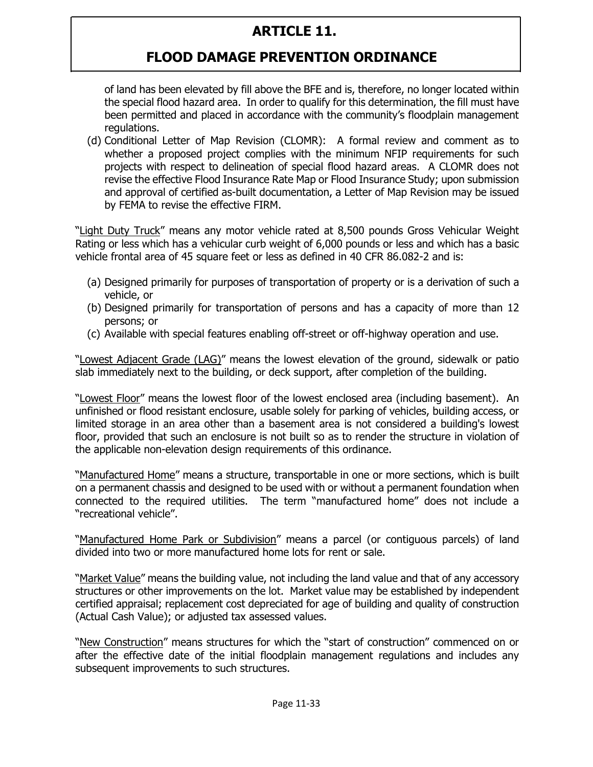# **FLOOD DAMAGE PREVENTION ORDINANCE**

of land has been elevated by fill above the BFE and is, therefore, no longer located within the special flood hazard area. In order to qualify for this determination, the fill must have been permitted and placed in accordance with the community's floodplain management regulations.

(d) Conditional Letter of Map Revision (CLOMR): A formal review and comment as to whether a proposed project complies with the minimum NFIP requirements for such projects with respect to delineation of special flood hazard areas. A CLOMR does not revise the effective Flood Insurance Rate Map or Flood Insurance Study; upon submission and approval of certified as-built documentation, a Letter of Map Revision may be issued by FEMA to revise the effective FIRM.

"Light Duty Truck" means any motor vehicle rated at 8,500 pounds Gross Vehicular Weight Rating or less which has a vehicular curb weight of 6,000 pounds or less and which has a basic vehicle frontal area of 45 square feet or less as defined in 40 CFR 86.082-2 and is:

- (a) Designed primarily for purposes of transportation of property or is a derivation of such a vehicle, or
- (b) Designed primarily for transportation of persons and has a capacity of more than 12 persons; or
- (c) Available with special features enabling off-street or off-highway operation and use.

"Lowest Adjacent Grade (LAG)" means the lowest elevation of the ground, sidewalk or patio slab immediately next to the building, or deck support, after completion of the building.

"Lowest Floor" means the lowest floor of the lowest enclosed area (including basement). An unfinished or flood resistant enclosure, usable solely for parking of vehicles, building access, or limited storage in an area other than a basement area is not considered a building's lowest floor, provided that such an enclosure is not built so as to render the structure in violation of the applicable non-elevation design requirements of this ordinance.

"Manufactured Home" means a structure, transportable in one or more sections, which is built on a permanent chassis and designed to be used with or without a permanent foundation when connected to the required utilities. The term "manufactured home" does not include a "recreational vehicle".

"Manufactured Home Park or Subdivision" means a parcel (or contiguous parcels) of land divided into two or more manufactured home lots for rent or sale.

"Market Value" means the building value, not including the land value and that of any accessory structures or other improvements on the lot. Market value may be established by independent certified appraisal; replacement cost depreciated for age of building and quality of construction (Actual Cash Value); or adjusted tax assessed values.

"New Construction" means structures for which the "start of construction" commenced on or after the effective date of the initial floodplain management regulations and includes any subsequent improvements to such structures.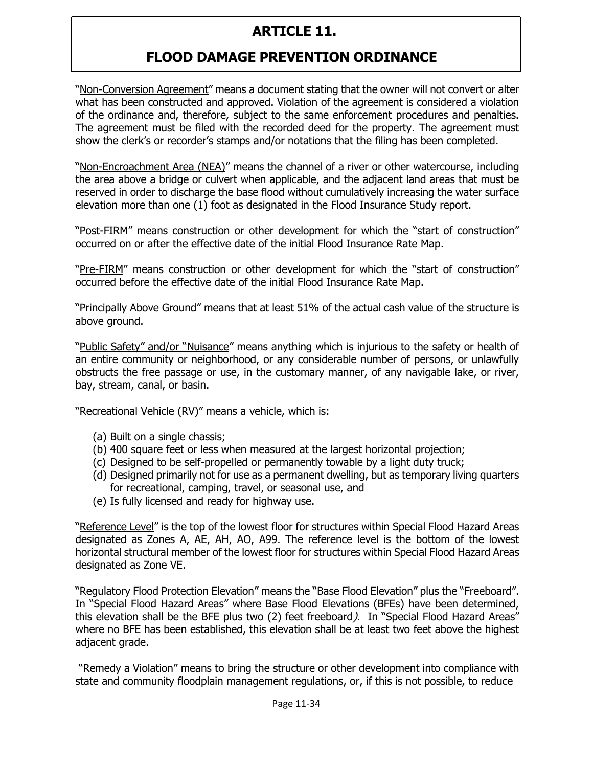# **FLOOD DAMAGE PREVENTION ORDINANCE**

"Non-Conversion Agreement" means a document stating that the owner will not convert or alter what has been constructed and approved. Violation of the agreement is considered a violation of the ordinance and, therefore, subject to the same enforcement procedures and penalties. The agreement must be filed with the recorded deed for the property. The agreement must show the clerk's or recorder's stamps and/or notations that the filing has been completed.

"Non-Encroachment Area (NEA)" means the channel of a river or other watercourse, including the area above a bridge or culvert when applicable, and the adjacent land areas that must be reserved in order to discharge the base flood without cumulatively increasing the water surface elevation more than one (1) foot as designated in the Flood Insurance Study report.

"Post-FIRM" means construction or other development for which the "start of construction" occurred on or after the effective date of the initial Flood Insurance Rate Map.

"Pre-FIRM" means construction or other development for which the "start of construction" occurred before the effective date of the initial Flood Insurance Rate Map.

"Principally Above Ground" means that at least 51% of the actual cash value of the structure is above ground.

"Public Safety" and/or "Nuisance" means anything which is injurious to the safety or health of an entire community or neighborhood, or any considerable number of persons, or unlawfully obstructs the free passage or use, in the customary manner, of any navigable lake, or river, bay, stream, canal, or basin.

"Recreational Vehicle (RV)" means a vehicle, which is:

- (a) Built on a single chassis;
- (b) 400 square feet or less when measured at the largest horizontal projection;
- (c) Designed to be self-propelled or permanently towable by a light duty truck;
- (d) Designed primarily not for use as a permanent dwelling, but as temporary living quarters for recreational, camping, travel, or seasonal use, and
- (e) Is fully licensed and ready for highway use.

"Reference Level" is the top of the lowest floor for structures within Special Flood Hazard Areas designated as Zones A, AE, AH, AO, A99. The reference level is the bottom of the lowest horizontal structural member of the lowest floor for structures within Special Flood Hazard Areas designated as Zone VE.

"Regulatory Flood Protection Elevation" means the "Base Flood Elevation" plus the "Freeboard". In "Special Flood Hazard Areas" where Base Flood Elevations (BFEs) have been determined, this elevation shall be the BFE plus two (2) feet freeboard). In "Special Flood Hazard Areas" where no BFE has been established, this elevation shall be at least two feet above the highest adjacent grade.

"Remedy a Violation" means to bring the structure or other development into compliance with state and community floodplain management regulations, or, if this is not possible, to reduce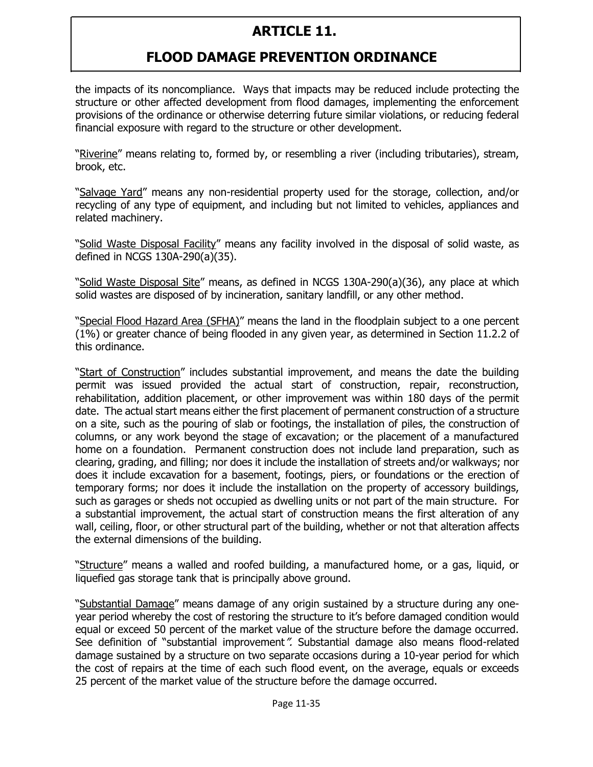# **FLOOD DAMAGE PREVENTION ORDINANCE**

the impacts of its noncompliance. Ways that impacts may be reduced include protecting the structure or other affected development from flood damages, implementing the enforcement provisions of the ordinance or otherwise deterring future similar violations, or reducing federal financial exposure with regard to the structure or other development.

"Riverine" means relating to, formed by, or resembling a river (including tributaries), stream, brook, etc.

"Salvage Yard" means any non-residential property used for the storage, collection, and/or recycling of any type of equipment, and including but not limited to vehicles, appliances and related machinery.

"Solid Waste Disposal Facility" means any facility involved in the disposal of solid waste, as defined in NCGS 130A-290(a)(35).

"Solid Waste Disposal Site" means, as defined in NCGS 130A-290(a)(36), any place at which solid wastes are disposed of by incineration, sanitary landfill, or any other method.

"Special Flood Hazard Area (SFHA)" means the land in the floodplain subject to a one percent (1%) or greater chance of being flooded in any given year, as determined in Section 11.2.2 of this ordinance.

"Start of Construction" includes substantial improvement, and means the date the building permit was issued provided the actual start of construction, repair, reconstruction, rehabilitation, addition placement, or other improvement was within 180 days of the permit date. The actual start means either the first placement of permanent construction of a structure on a site, such as the pouring of slab or footings, the installation of piles, the construction of columns, or any work beyond the stage of excavation; or the placement of a manufactured home on a foundation. Permanent construction does not include land preparation, such as clearing, grading, and filling; nor does it include the installation of streets and/or walkways; nor does it include excavation for a basement, footings, piers, or foundations or the erection of temporary forms; nor does it include the installation on the property of accessory buildings, such as garages or sheds not occupied as dwelling units or not part of the main structure. For a substantial improvement, the actual start of construction means the first alteration of any wall, ceiling, floor, or other structural part of the building, whether or not that alteration affects the external dimensions of the building.

"Structure" means a walled and roofed building, a manufactured home, or a gas, liquid, or liquefied gas storage tank that is principally above ground.

"Substantial Damage" means damage of any origin sustained by a structure during any oneyear period whereby the cost of restoring the structure to it's before damaged condition would equal or exceed 50 percent of the market value of the structure before the damage occurred. See definition of "substantial improvement". Substantial damage also means flood-related damage sustained by a structure on two separate occasions during a 10-year period for which the cost of repairs at the time of each such flood event, on the average, equals or exceeds 25 percent of the market value of the structure before the damage occurred.